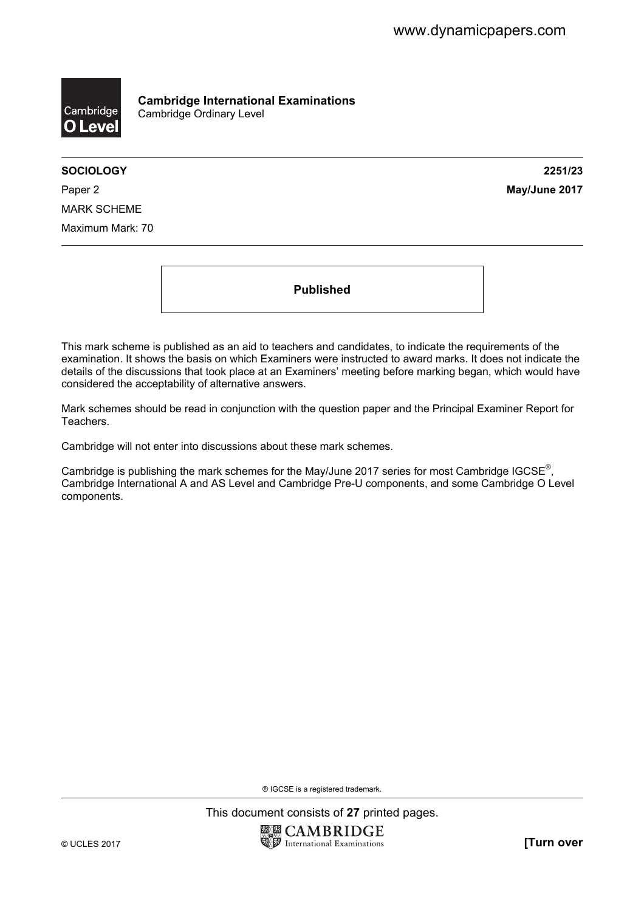

**Cambridge International Examinations**  Cambridge Ordinary Level

**SOCIOLOGY 2251/23** 

Paper 2 **May/June 2017** MARK SCHEME Maximum Mark: 70

**Published** 

This mark scheme is published as an aid to teachers and candidates, to indicate the requirements of the examination. It shows the basis on which Examiners were instructed to award marks. It does not indicate the details of the discussions that took place at an Examiners' meeting before marking began, which would have considered the acceptability of alternative answers.

Mark schemes should be read in conjunction with the question paper and the Principal Examiner Report for Teachers.

Cambridge will not enter into discussions about these mark schemes.

Cambridge is publishing the mark schemes for the May/June 2017 series for most Cambridge IGCSE<sup>®</sup>, Cambridge International A and AS Level and Cambridge Pre-U components, and some Cambridge O Level components.

® IGCSE is a registered trademark.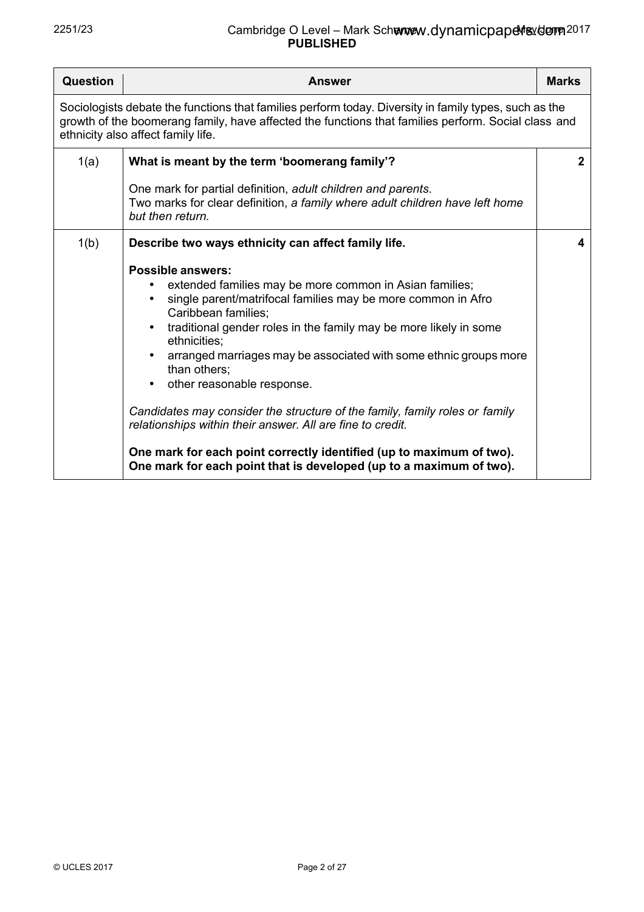| Question | <b>Answer</b>                                                                                                                                                                                                                                                                                                                                                                                                                                                                                                                                                                                                                                                                                                                                                                             | <b>Marks</b> |
|----------|-------------------------------------------------------------------------------------------------------------------------------------------------------------------------------------------------------------------------------------------------------------------------------------------------------------------------------------------------------------------------------------------------------------------------------------------------------------------------------------------------------------------------------------------------------------------------------------------------------------------------------------------------------------------------------------------------------------------------------------------------------------------------------------------|--------------|
|          | Sociologists debate the functions that families perform today. Diversity in family types, such as the<br>growth of the boomerang family, have affected the functions that families perform. Social class and<br>ethnicity also affect family life.                                                                                                                                                                                                                                                                                                                                                                                                                                                                                                                                        |              |
| 1(a)     | What is meant by the term 'boomerang family'?<br>One mark for partial definition, adult children and parents.<br>Two marks for clear definition, a family where adult children have left home                                                                                                                                                                                                                                                                                                                                                                                                                                                                                                                                                                                             | $\mathbf{2}$ |
|          | but then return.                                                                                                                                                                                                                                                                                                                                                                                                                                                                                                                                                                                                                                                                                                                                                                          |              |
| 1(b)     | Describe two ways ethnicity can affect family life.<br><b>Possible answers:</b><br>extended families may be more common in Asian families;<br>$\bullet$<br>single parent/matrifocal families may be more common in Afro<br>$\bullet$<br>Caribbean families;<br>traditional gender roles in the family may be more likely in some<br>ethnicities;<br>arranged marriages may be associated with some ethnic groups more<br>$\bullet$<br>than others;<br>other reasonable response.<br>$\bullet$<br>Candidates may consider the structure of the family, family roles or family<br>relationships within their answer. All are fine to credit.<br>One mark for each point correctly identified (up to maximum of two).<br>One mark for each point that is developed (up to a maximum of two). | 4            |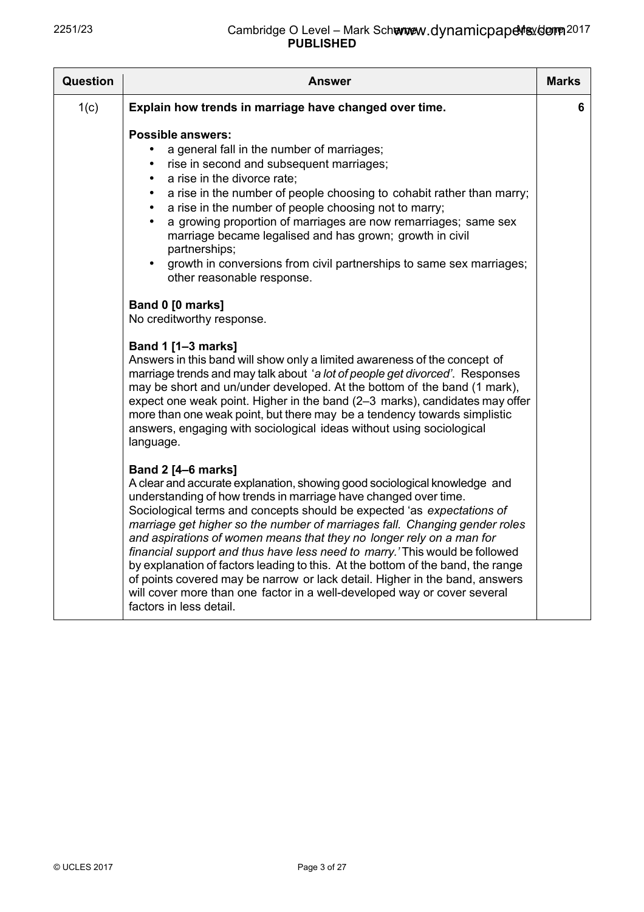| <b>Question</b> | <b>Answer</b>                                                                                                                                                                                                                                                                                                                                                                                                                                                                                                                                                                                                                                                                                                                                                                                                                                                                                                                                                                                                                                                                                                                                                                                                                                                                                                                                                                                                                                                                                                                                                                                                                                                                                                                                                                                                                                                                                           | <b>Marks</b> |
|-----------------|---------------------------------------------------------------------------------------------------------------------------------------------------------------------------------------------------------------------------------------------------------------------------------------------------------------------------------------------------------------------------------------------------------------------------------------------------------------------------------------------------------------------------------------------------------------------------------------------------------------------------------------------------------------------------------------------------------------------------------------------------------------------------------------------------------------------------------------------------------------------------------------------------------------------------------------------------------------------------------------------------------------------------------------------------------------------------------------------------------------------------------------------------------------------------------------------------------------------------------------------------------------------------------------------------------------------------------------------------------------------------------------------------------------------------------------------------------------------------------------------------------------------------------------------------------------------------------------------------------------------------------------------------------------------------------------------------------------------------------------------------------------------------------------------------------------------------------------------------------------------------------------------------------|--------------|
| 1(c)            | Explain how trends in marriage have changed over time.                                                                                                                                                                                                                                                                                                                                                                                                                                                                                                                                                                                                                                                                                                                                                                                                                                                                                                                                                                                                                                                                                                                                                                                                                                                                                                                                                                                                                                                                                                                                                                                                                                                                                                                                                                                                                                                  | 6.           |
|                 | <b>Possible answers:</b><br>a general fall in the number of marriages;<br>rise in second and subsequent marriages;<br>$\bullet$<br>a rise in the divorce rate;<br>$\bullet$<br>a rise in the number of people choosing to cohabit rather than marry;<br>$\bullet$<br>a rise in the number of people choosing not to marry;<br>$\bullet$<br>a growing proportion of marriages are now remarriages; same sex<br>marriage became legalised and has grown; growth in civil<br>partnerships;<br>growth in conversions from civil partnerships to same sex marriages;<br>other reasonable response.<br>Band 0 [0 marks]<br>No creditworthy response.<br>Band 1 [1-3 marks]<br>Answers in this band will show only a limited awareness of the concept of<br>marriage trends and may talk about 'a lot of people get divorced'. Responses<br>may be short and un/under developed. At the bottom of the band (1 mark),<br>expect one weak point. Higher in the band (2–3 marks), candidates may offer<br>more than one weak point, but there may be a tendency towards simplistic<br>answers, engaging with sociological ideas without using sociological<br>language.<br><b>Band 2 [4-6 marks]</b><br>A clear and accurate explanation, showing good sociological knowledge and<br>understanding of how trends in marriage have changed over time.<br>Sociological terms and concepts should be expected 'as expectations of<br>marriage get higher so the number of marriages fall. Changing gender roles<br>and aspirations of women means that they no longer rely on a man for<br>financial support and thus have less need to marry.' This would be followed<br>by explanation of factors leading to this. At the bottom of the band, the range<br>of points covered may be narrow or lack detail. Higher in the band, answers<br>will cover more than one factor in a well-developed way or cover several |              |
|                 | factors in less detail.                                                                                                                                                                                                                                                                                                                                                                                                                                                                                                                                                                                                                                                                                                                                                                                                                                                                                                                                                                                                                                                                                                                                                                                                                                                                                                                                                                                                                                                                                                                                                                                                                                                                                                                                                                                                                                                                                 |              |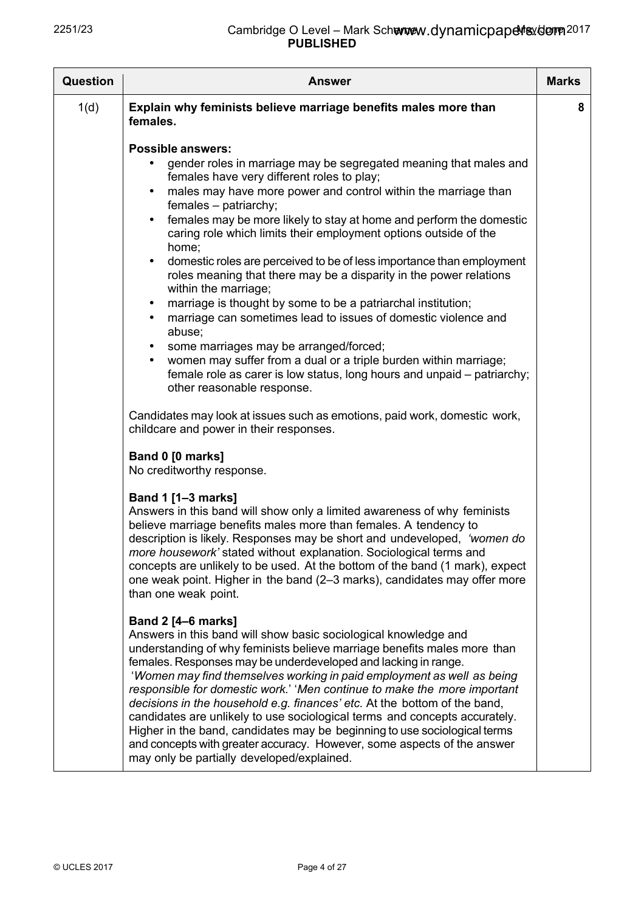| <b>Question</b> | <b>Answer</b>                                                                                                                                                                                                                                                                                                                                                                                                                                                                                                                                                                                                                                                                                                                                                                                                                                                                                                                                                                                                           | <b>Marks</b> |
|-----------------|-------------------------------------------------------------------------------------------------------------------------------------------------------------------------------------------------------------------------------------------------------------------------------------------------------------------------------------------------------------------------------------------------------------------------------------------------------------------------------------------------------------------------------------------------------------------------------------------------------------------------------------------------------------------------------------------------------------------------------------------------------------------------------------------------------------------------------------------------------------------------------------------------------------------------------------------------------------------------------------------------------------------------|--------------|
| 1(d)            | Explain why feminists believe marriage benefits males more than<br>females.                                                                                                                                                                                                                                                                                                                                                                                                                                                                                                                                                                                                                                                                                                                                                                                                                                                                                                                                             | 8            |
|                 | <b>Possible answers:</b><br>gender roles in marriage may be segregated meaning that males and<br>females have very different roles to play;<br>males may have more power and control within the marriage than<br>$\bullet$<br>females - patriarchy;<br>females may be more likely to stay at home and perform the domestic<br>$\bullet$<br>caring role which limits their employment options outside of the<br>home;<br>domestic roles are perceived to be of less importance than employment<br>$\bullet$<br>roles meaning that there may be a disparity in the power relations<br>within the marriage;<br>marriage is thought by some to be a patriarchal institution;<br>$\bullet$<br>marriage can sometimes lead to issues of domestic violence and<br>٠<br>abuse;<br>some marriages may be arranged/forced;<br>$\bullet$<br>women may suffer from a dual or a triple burden within marriage;<br>$\bullet$<br>female role as carer is low status, long hours and unpaid – patriarchy;<br>other reasonable response. |              |
|                 | Candidates may look at issues such as emotions, paid work, domestic work,<br>childcare and power in their responses.                                                                                                                                                                                                                                                                                                                                                                                                                                                                                                                                                                                                                                                                                                                                                                                                                                                                                                    |              |
|                 | Band 0 [0 marks]<br>No creditworthy response.                                                                                                                                                                                                                                                                                                                                                                                                                                                                                                                                                                                                                                                                                                                                                                                                                                                                                                                                                                           |              |
|                 | Band 1 [1-3 marks]<br>Answers in this band will show only a limited awareness of why feminists<br>believe marriage benefits males more than females. A tendency to<br>description is likely. Responses may be short and undeveloped, 'women do<br>more housework' stated without explanation. Sociological terms and<br>concepts are unlikely to be used. At the bottom of the band (1 mark), expect<br>one weak point. Higher in the band (2–3 marks), candidates may offer more<br>than one weak point.                                                                                                                                                                                                                                                                                                                                                                                                                                                                                                               |              |
|                 | <b>Band 2 [4–6 marks]</b><br>Answers in this band will show basic sociological knowledge and<br>understanding of why feminists believe marriage benefits males more than<br>females. Responses may be underdeveloped and lacking in range.<br>'Women may find themselves working in paid employment as well as being<br>responsible for domestic work.' 'Men continue to make the more important<br>decisions in the household e.g. finances' etc. At the bottom of the band,<br>candidates are unlikely to use sociological terms and concepts accurately.<br>Higher in the band, candidates may be beginning to use sociological terms<br>and concepts with greater accuracy. However, some aspects of the answer<br>may only be partially developed/explained.                                                                                                                                                                                                                                                       |              |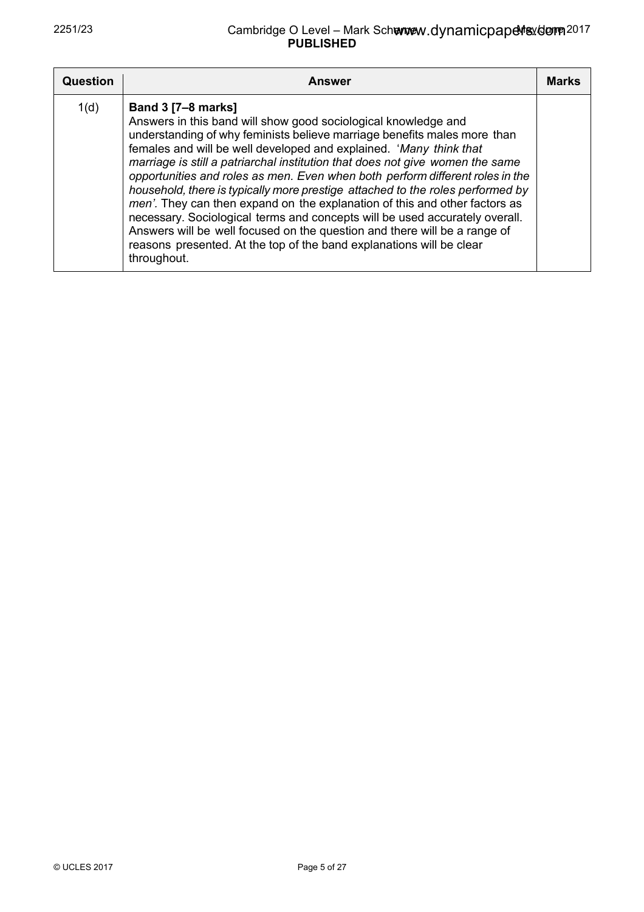| Question | <b>Answer</b>                                                                                                                                                                                                                                                                                                                                                                                                                                                                                                                                                                                                                                                                                                                                                                                                                      | <b>Marks</b> |
|----------|------------------------------------------------------------------------------------------------------------------------------------------------------------------------------------------------------------------------------------------------------------------------------------------------------------------------------------------------------------------------------------------------------------------------------------------------------------------------------------------------------------------------------------------------------------------------------------------------------------------------------------------------------------------------------------------------------------------------------------------------------------------------------------------------------------------------------------|--------------|
| 1(d)     | <b>Band 3 [7-8 marks]</b><br>Answers in this band will show good sociological knowledge and<br>understanding of why feminists believe marriage benefits males more than<br>females and will be well developed and explained. 'Many think that<br>marriage is still a patriarchal institution that does not give women the same<br>opportunities and roles as men. Even when both perform different roles in the<br>household, there is typically more prestige attached to the roles performed by<br>men'. They can then expand on the explanation of this and other factors as<br>necessary. Sociological terms and concepts will be used accurately overall.<br>Answers will be well focused on the question and there will be a range of<br>reasons presented. At the top of the band explanations will be clear<br>throughout. |              |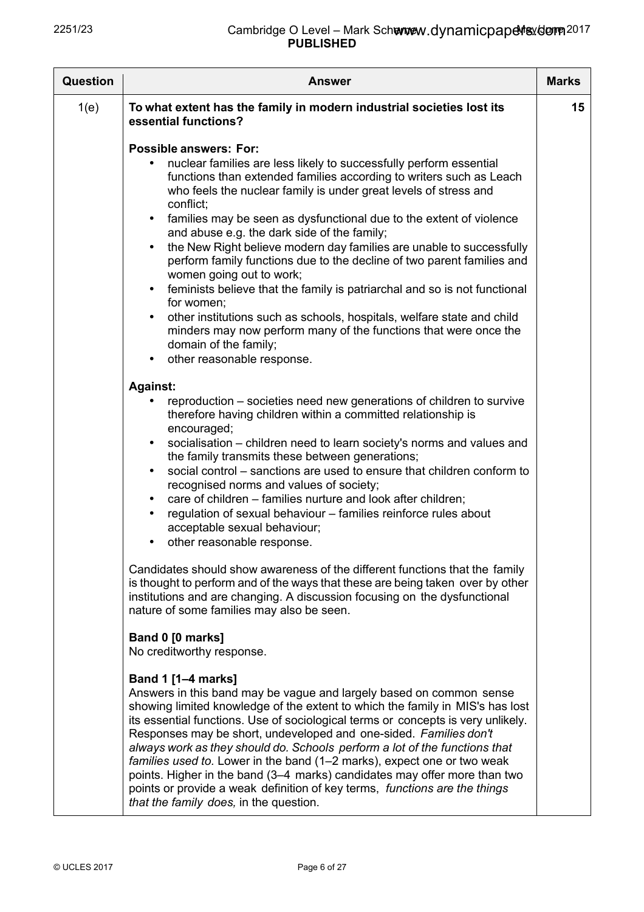| <b>Question</b> | <b>Answer</b>                                                                                                                                                                                                                                                                                                                                                                                                                                                                                                                                                                                                                                                                                                                                                                                                                      | <b>Marks</b> |
|-----------------|------------------------------------------------------------------------------------------------------------------------------------------------------------------------------------------------------------------------------------------------------------------------------------------------------------------------------------------------------------------------------------------------------------------------------------------------------------------------------------------------------------------------------------------------------------------------------------------------------------------------------------------------------------------------------------------------------------------------------------------------------------------------------------------------------------------------------------|--------------|
| 1(e)            | To what extent has the family in modern industrial societies lost its<br>essential functions?                                                                                                                                                                                                                                                                                                                                                                                                                                                                                                                                                                                                                                                                                                                                      | 15           |
|                 | <b>Possible answers: For:</b><br>nuclear families are less likely to successfully perform essential<br>functions than extended families according to writers such as Leach<br>who feels the nuclear family is under great levels of stress and<br>conflict;<br>families may be seen as dysfunctional due to the extent of violence<br>$\bullet$<br>and abuse e.g. the dark side of the family;<br>the New Right believe modern day families are unable to successfully<br>perform family functions due to the decline of two parent families and<br>women going out to work;<br>feminists believe that the family is patriarchal and so is not functional<br>for women:<br>other institutions such as schools, hospitals, welfare state and child<br>$\bullet$<br>minders may now perform many of the functions that were once the |              |
|                 | domain of the family;<br>other reasonable response.                                                                                                                                                                                                                                                                                                                                                                                                                                                                                                                                                                                                                                                                                                                                                                                |              |
|                 | <b>Against:</b>                                                                                                                                                                                                                                                                                                                                                                                                                                                                                                                                                                                                                                                                                                                                                                                                                    |              |
|                 | reproduction – societies need new generations of children to survive<br>therefore having children within a committed relationship is<br>encouraged;<br>socialisation - children need to learn society's norms and values and<br>the family transmits these between generations;<br>social control – sanctions are used to ensure that children conform to<br>$\bullet$<br>recognised norms and values of society;<br>care of children - families nurture and look after children;<br>$\bullet$<br>regulation of sexual behaviour - families reinforce rules about<br>acceptable sexual behaviour;<br>other reasonable response.                                                                                                                                                                                                    |              |
|                 | Candidates should show awareness of the different functions that the family<br>is thought to perform and of the ways that these are being taken over by other<br>institutions and are changing. A discussion focusing on the dysfunctional<br>nature of some families may also be seen.                                                                                                                                                                                                                                                                                                                                                                                                                                                                                                                                            |              |
|                 | Band 0 [0 marks]<br>No creditworthy response.                                                                                                                                                                                                                                                                                                                                                                                                                                                                                                                                                                                                                                                                                                                                                                                      |              |
|                 | <b>Band 1 [1-4 marks]</b><br>Answers in this band may be vague and largely based on common sense<br>showing limited knowledge of the extent to which the family in MIS's has lost<br>its essential functions. Use of sociological terms or concepts is very unlikely.<br>Responses may be short, undeveloped and one-sided. Families don't<br>always work as they should do. Schools perform a lot of the functions that<br>families used to. Lower in the band (1–2 marks), expect one or two weak<br>points. Higher in the band (3–4 marks) candidates may offer more than two<br>points or provide a weak definition of key terms, functions are the things<br>that the family does, in the question.                                                                                                                           |              |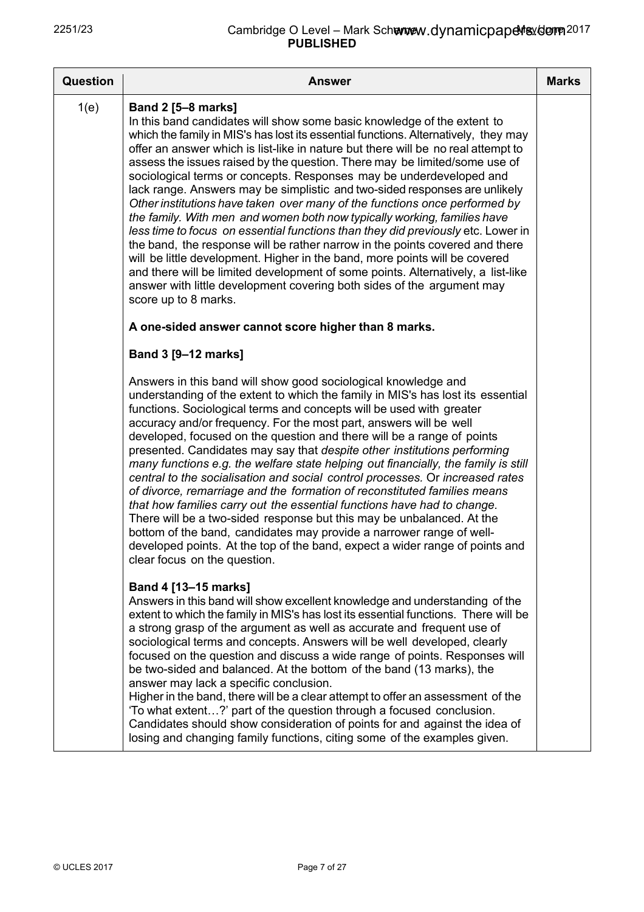| <b>Question</b> | <b>Answer</b>                                                                                                                                                                                                                                                                                                                                                                                                                                                                                                                                                                                                                                                                                                                                                                                                                                                                                                                                                                                                                                                                                                          | <b>Marks</b> |
|-----------------|------------------------------------------------------------------------------------------------------------------------------------------------------------------------------------------------------------------------------------------------------------------------------------------------------------------------------------------------------------------------------------------------------------------------------------------------------------------------------------------------------------------------------------------------------------------------------------------------------------------------------------------------------------------------------------------------------------------------------------------------------------------------------------------------------------------------------------------------------------------------------------------------------------------------------------------------------------------------------------------------------------------------------------------------------------------------------------------------------------------------|--------------|
| 1(e)            | <b>Band 2 [5-8 marks]</b><br>In this band candidates will show some basic knowledge of the extent to<br>which the family in MIS's has lost its essential functions. Alternatively, they may<br>offer an answer which is list-like in nature but there will be no real attempt to<br>assess the issues raised by the question. There may be limited/some use of<br>sociological terms or concepts. Responses may be underdeveloped and<br>lack range. Answers may be simplistic and two-sided responses are unlikely<br>Other institutions have taken over many of the functions once performed by<br>the family. With men and women both now typically working, families have<br>less time to focus on essential functions than they did previously etc. Lower in<br>the band, the response will be rather narrow in the points covered and there<br>will be little development. Higher in the band, more points will be covered<br>and there will be limited development of some points. Alternatively, a list-like<br>answer with little development covering both sides of the argument may<br>score up to 8 marks. |              |
|                 | A one-sided answer cannot score higher than 8 marks.                                                                                                                                                                                                                                                                                                                                                                                                                                                                                                                                                                                                                                                                                                                                                                                                                                                                                                                                                                                                                                                                   |              |
|                 | Band 3 [9-12 marks]                                                                                                                                                                                                                                                                                                                                                                                                                                                                                                                                                                                                                                                                                                                                                                                                                                                                                                                                                                                                                                                                                                    |              |
|                 | Answers in this band will show good sociological knowledge and<br>understanding of the extent to which the family in MIS's has lost its essential<br>functions. Sociological terms and concepts will be used with greater<br>accuracy and/or frequency. For the most part, answers will be well<br>developed, focused on the question and there will be a range of points<br>presented. Candidates may say that despite other institutions performing<br>many functions e.g. the welfare state helping out financially, the family is still<br>central to the socialisation and social control processes. Or increased rates<br>of divorce, remarriage and the formation of reconstituted families means<br>that how families carry out the essential functions have had to change.<br>There will be a two-sided response but this may be unbalanced. At the<br>bottom of the band, candidates may provide a narrower range of well-<br>developed points. At the top of the band, expect a wider range of points and<br>clear focus on the question.                                                                   |              |
|                 | Band 4 [13-15 marks]<br>Answers in this band will show excellent knowledge and understanding of the<br>extent to which the family in MIS's has lost its essential functions. There will be<br>a strong grasp of the argument as well as accurate and frequent use of<br>sociological terms and concepts. Answers will be well developed, clearly<br>focused on the question and discuss a wide range of points. Responses will<br>be two-sided and balanced. At the bottom of the band (13 marks), the<br>answer may lack a specific conclusion.<br>Higher in the band, there will be a clear attempt to offer an assessment of the<br>'To what extent?' part of the question through a focused conclusion.<br>Candidates should show consideration of points for and against the idea of<br>losing and changing family functions, citing some of the examples given.                                                                                                                                                                                                                                                  |              |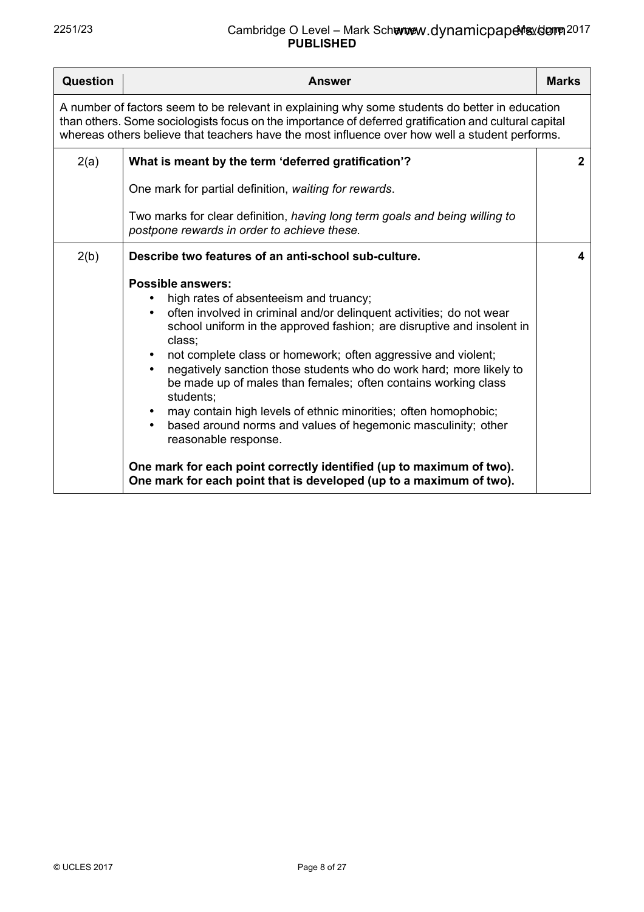| <b>Question</b>                                                                                                                                                                                                                                                                                           | <b>Answer</b>                                                                                                                                                                                                                                                                                                                                                                                                                                                                                                                                                                                                                                                                                                                                                                                           | <b>Marks</b>   |
|-----------------------------------------------------------------------------------------------------------------------------------------------------------------------------------------------------------------------------------------------------------------------------------------------------------|---------------------------------------------------------------------------------------------------------------------------------------------------------------------------------------------------------------------------------------------------------------------------------------------------------------------------------------------------------------------------------------------------------------------------------------------------------------------------------------------------------------------------------------------------------------------------------------------------------------------------------------------------------------------------------------------------------------------------------------------------------------------------------------------------------|----------------|
| A number of factors seem to be relevant in explaining why some students do better in education<br>than others. Some sociologists focus on the importance of deferred gratification and cultural capital<br>whereas others believe that teachers have the most influence over how well a student performs. |                                                                                                                                                                                                                                                                                                                                                                                                                                                                                                                                                                                                                                                                                                                                                                                                         |                |
| 2(a)                                                                                                                                                                                                                                                                                                      | What is meant by the term 'deferred gratification'?                                                                                                                                                                                                                                                                                                                                                                                                                                                                                                                                                                                                                                                                                                                                                     | $\overline{2}$ |
|                                                                                                                                                                                                                                                                                                           | One mark for partial definition, waiting for rewards.                                                                                                                                                                                                                                                                                                                                                                                                                                                                                                                                                                                                                                                                                                                                                   |                |
|                                                                                                                                                                                                                                                                                                           | Two marks for clear definition, having long term goals and being willing to<br>postpone rewards in order to achieve these.                                                                                                                                                                                                                                                                                                                                                                                                                                                                                                                                                                                                                                                                              |                |
| 2(b)                                                                                                                                                                                                                                                                                                      | Describe two features of an anti-school sub-culture.                                                                                                                                                                                                                                                                                                                                                                                                                                                                                                                                                                                                                                                                                                                                                    | 4              |
|                                                                                                                                                                                                                                                                                                           | <b>Possible answers:</b><br>high rates of absenteeism and truancy;<br>$\bullet$<br>often involved in criminal and/or delinquent activities; do not wear<br>school uniform in the approved fashion; are disruptive and insolent in<br>class;<br>not complete class or homework; often aggressive and violent;<br>$\bullet$<br>negatively sanction those students who do work hard; more likely to<br>be made up of males than females; often contains working class<br>students:<br>may contain high levels of ethnic minorities; often homophobic;<br>$\bullet$<br>based around norms and values of hegemonic masculinity; other<br>reasonable response.<br>One mark for each point correctly identified (up to maximum of two).<br>One mark for each point that is developed (up to a maximum of two). |                |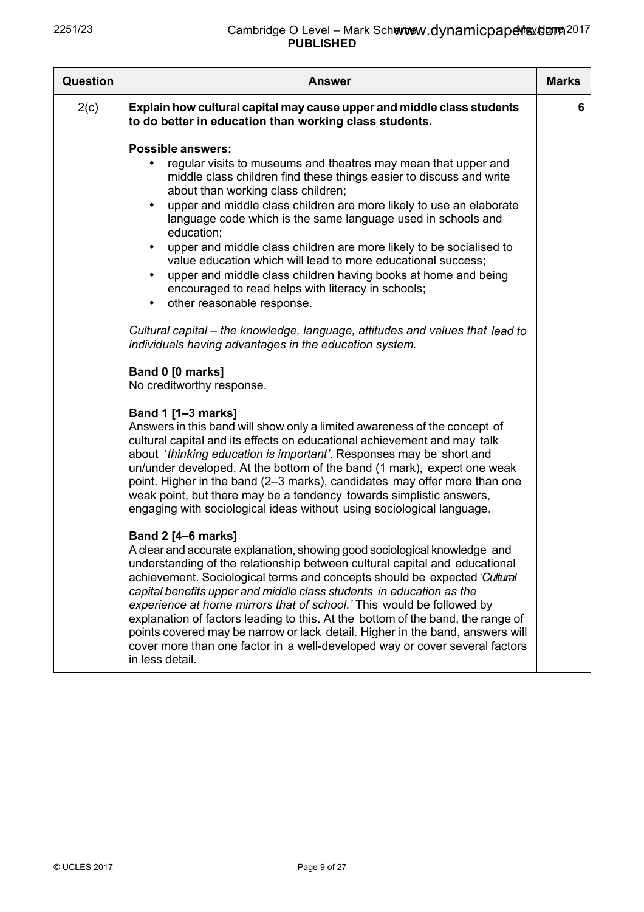| <b>Question</b> | <b>Answer</b>                                                                                                                                                                                                                                                                                                                                                                                                                                                                                                                                                                                                                                                                                                                                                                                                                                                                                             | <b>Marks</b> |
|-----------------|-----------------------------------------------------------------------------------------------------------------------------------------------------------------------------------------------------------------------------------------------------------------------------------------------------------------------------------------------------------------------------------------------------------------------------------------------------------------------------------------------------------------------------------------------------------------------------------------------------------------------------------------------------------------------------------------------------------------------------------------------------------------------------------------------------------------------------------------------------------------------------------------------------------|--------------|
| 2(c)            | Explain how cultural capital may cause upper and middle class students<br>to do better in education than working class students.                                                                                                                                                                                                                                                                                                                                                                                                                                                                                                                                                                                                                                                                                                                                                                          | 6            |
|                 | <b>Possible answers:</b><br>regular visits to museums and theatres may mean that upper and<br>middle class children find these things easier to discuss and write<br>about than working class children;<br>upper and middle class children are more likely to use an elaborate<br>$\bullet$<br>language code which is the same language used in schools and<br>education;<br>upper and middle class children are more likely to be socialised to<br>$\bullet$<br>value education which will lead to more educational success;<br>upper and middle class children having books at home and being<br>$\bullet$<br>encouraged to read helps with literacy in schools;<br>other reasonable response.<br>$\bullet$<br>Cultural capital – the knowledge, language, attitudes and values that lead to<br>individuals having advantages in the education system.<br>Band 0 [0 marks]<br>No creditworthy response. |              |
|                 | Band 1 [1-3 marks]<br>Answers in this band will show only a limited awareness of the concept of<br>cultural capital and its effects on educational achievement and may talk<br>about 'thinking education is important'. Responses may be short and<br>un/under developed. At the bottom of the band (1 mark), expect one weak<br>point. Higher in the band (2–3 marks), candidates may offer more than one<br>weak point, but there may be a tendency towards simplistic answers,<br>engaging with sociological ideas without using sociological language.                                                                                                                                                                                                                                                                                                                                                |              |
|                 | <b>Band 2 [4–6 marks]</b><br>A clear and accurate explanation, showing good sociological knowledge and<br>understanding of the relationship between cultural capital and educational<br>achievement. Sociological terms and concepts should be expected 'Cultural<br>capital benefits upper and middle class students in education as the<br>experience at home mirrors that of school.' This would be followed by<br>explanation of factors leading to this. At the bottom of the band, the range of<br>points covered may be narrow or lack detail. Higher in the band, answers will<br>cover more than one factor in a well-developed way or cover several factors<br>in less detail.                                                                                                                                                                                                                  |              |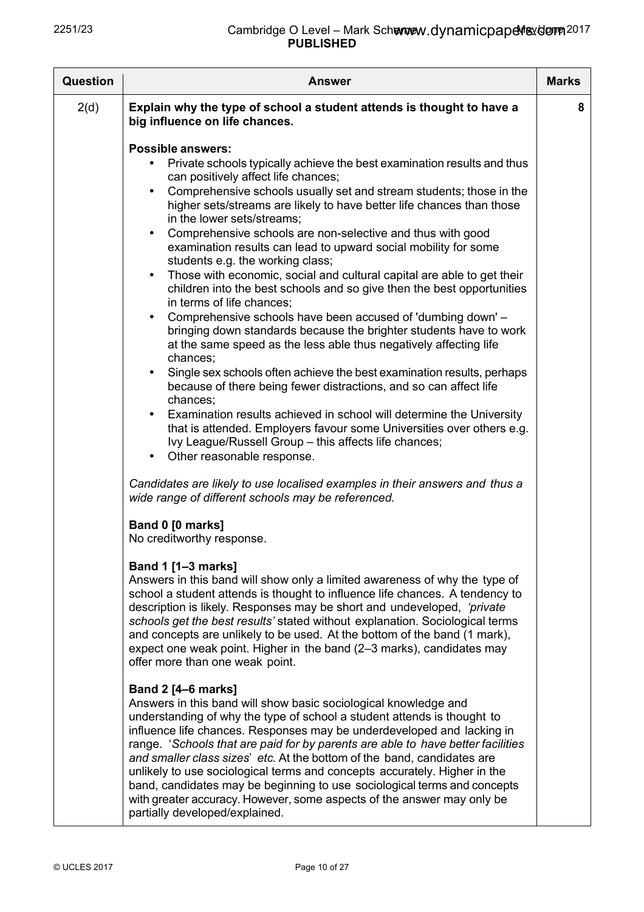| <b>Question</b> | Answer                                                                                                                                                                                                                                                                                                                                                                                                                                                                                                                                                                                                                                                                                                                                                                                                                                                                                                                                                                                                                                                                                                                                                                                                                                                                                                                                                                                                                                                                                           | <b>Marks</b> |
|-----------------|--------------------------------------------------------------------------------------------------------------------------------------------------------------------------------------------------------------------------------------------------------------------------------------------------------------------------------------------------------------------------------------------------------------------------------------------------------------------------------------------------------------------------------------------------------------------------------------------------------------------------------------------------------------------------------------------------------------------------------------------------------------------------------------------------------------------------------------------------------------------------------------------------------------------------------------------------------------------------------------------------------------------------------------------------------------------------------------------------------------------------------------------------------------------------------------------------------------------------------------------------------------------------------------------------------------------------------------------------------------------------------------------------------------------------------------------------------------------------------------------------|--------------|
| 2(d)            | Explain why the type of school a student attends is thought to have a<br>big influence on life chances.                                                                                                                                                                                                                                                                                                                                                                                                                                                                                                                                                                                                                                                                                                                                                                                                                                                                                                                                                                                                                                                                                                                                                                                                                                                                                                                                                                                          | 8            |
|                 | <b>Possible answers:</b><br>Private schools typically achieve the best examination results and thus<br>can positively affect life chances;<br>Comprehensive schools usually set and stream students; those in the<br>$\bullet$<br>higher sets/streams are likely to have better life chances than those<br>in the lower sets/streams:<br>Comprehensive schools are non-selective and thus with good<br>$\bullet$<br>examination results can lead to upward social mobility for some<br>students e.g. the working class;<br>Those with economic, social and cultural capital are able to get their<br>$\bullet$<br>children into the best schools and so give then the best opportunities<br>in terms of life chances;<br>Comprehensive schools have been accused of 'dumbing down' -<br>$\bullet$<br>bringing down standards because the brighter students have to work<br>at the same speed as the less able thus negatively affecting life<br>chances;<br>Single sex schools often achieve the best examination results, perhaps<br>because of there being fewer distractions, and so can affect life<br>chances;<br>Examination results achieved in school will determine the University<br>that is attended. Employers favour some Universities over others e.g.<br>Ivy League/Russell Group - this affects life chances;<br>Other reasonable response.<br>Candidates are likely to use localised examples in their answers and thus a<br>wide range of different schools may be referenced. |              |
|                 | Band 0 [0 marks]<br>No creditworthy response.<br><b>Band 1 [1-3 marks]</b><br>Answers in this band will show only a limited awareness of why the type of<br>school a student attends is thought to influence life chances. A tendency to<br>description is likely. Responses may be short and undeveloped, 'private'<br>schools get the best results' stated without explanation. Sociological terms<br>and concepts are unlikely to be used. At the bottom of the band (1 mark),<br>expect one weak point. Higher in the band (2-3 marks), candidates may<br>offer more than one weak point.                                                                                                                                                                                                                                                                                                                                                                                                                                                                                                                                                                                                                                                                                                                                                                                                                                                                                                    |              |
|                 | <b>Band 2 [4–6 marks]</b><br>Answers in this band will show basic sociological knowledge and<br>understanding of why the type of school a student attends is thought to<br>influence life chances. Responses may be underdeveloped and lacking in<br>range. 'Schools that are paid for by parents are able to have better facilities<br>and smaller class sizes' etc. At the bottom of the band, candidates are<br>unlikely to use sociological terms and concepts accurately. Higher in the<br>band, candidates may be beginning to use sociological terms and concepts<br>with greater accuracy. However, some aspects of the answer may only be<br>partially developed/explained.                                                                                                                                                                                                                                                                                                                                                                                                                                                                                                                                                                                                                                                                                                                                                                                                             |              |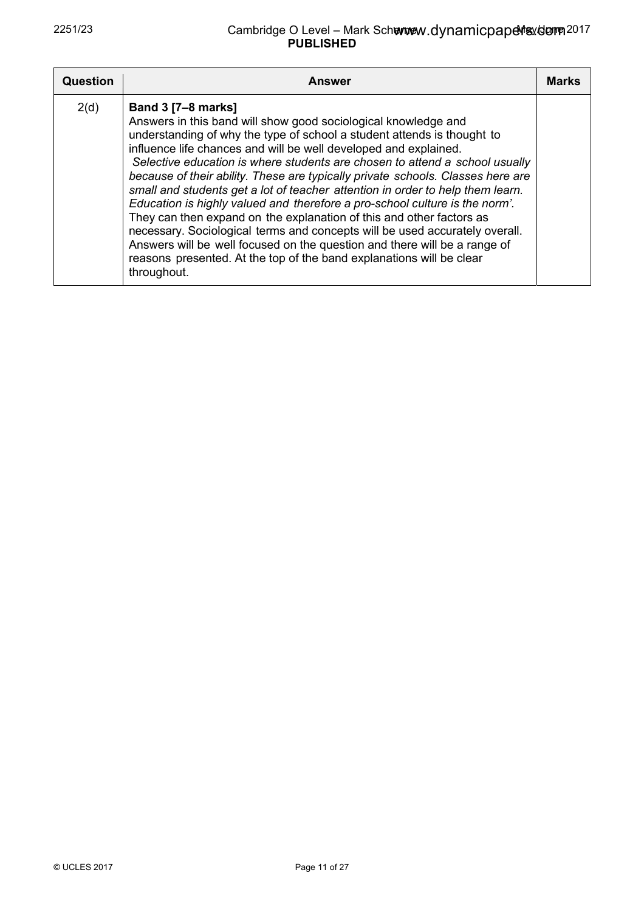| <b>Question</b> | <b>Answer</b>                                                                                                                                                                                                                                                                                                                                                                                                                                                                                                                                                                                                                                                                                                                                                                                                                                                                                            | <b>Marks</b> |
|-----------------|----------------------------------------------------------------------------------------------------------------------------------------------------------------------------------------------------------------------------------------------------------------------------------------------------------------------------------------------------------------------------------------------------------------------------------------------------------------------------------------------------------------------------------------------------------------------------------------------------------------------------------------------------------------------------------------------------------------------------------------------------------------------------------------------------------------------------------------------------------------------------------------------------------|--------------|
| 2(d)            | <b>Band 3 [7-8 marks]</b><br>Answers in this band will show good sociological knowledge and<br>understanding of why the type of school a student attends is thought to<br>influence life chances and will be well developed and explained.<br>Selective education is where students are chosen to attend a school usually<br>because of their ability. These are typically private schools. Classes here are<br>small and students get a lot of teacher attention in order to help them learn.<br>Education is highly valued and therefore a pro-school culture is the norm'.<br>They can then expand on the explanation of this and other factors as<br>necessary. Sociological terms and concepts will be used accurately overall.<br>Answers will be well focused on the question and there will be a range of<br>reasons presented. At the top of the band explanations will be clear<br>throughout. |              |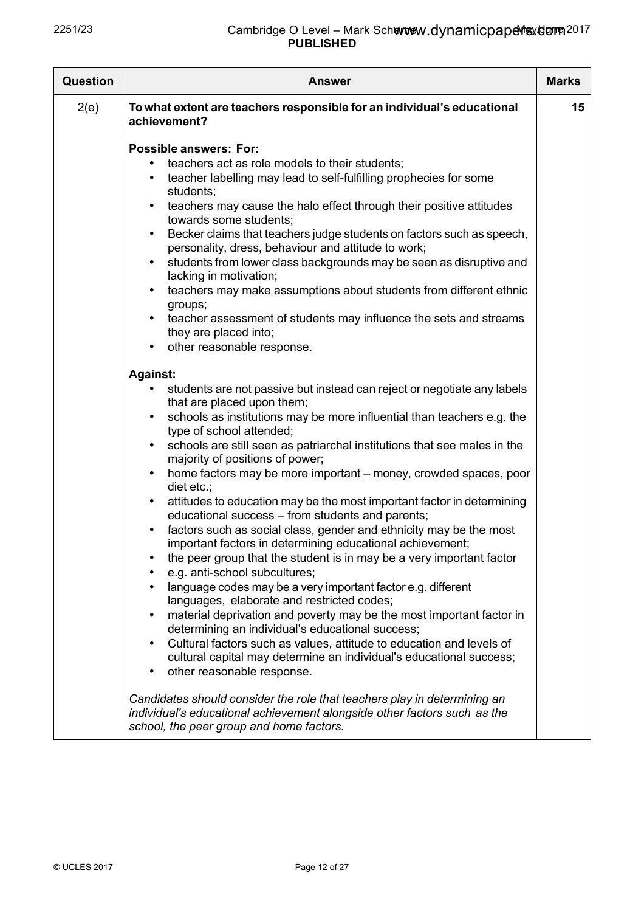| <b>Question</b> | <b>Answer</b>                                                                                                                                                                                                                                                                                                                                                                                                                                                                                                                                                                                                                                                                                                                                                                                                                                                                                                                                                                                                                                                                                                                                                                                                                                                                                                                         | <b>Marks</b> |
|-----------------|---------------------------------------------------------------------------------------------------------------------------------------------------------------------------------------------------------------------------------------------------------------------------------------------------------------------------------------------------------------------------------------------------------------------------------------------------------------------------------------------------------------------------------------------------------------------------------------------------------------------------------------------------------------------------------------------------------------------------------------------------------------------------------------------------------------------------------------------------------------------------------------------------------------------------------------------------------------------------------------------------------------------------------------------------------------------------------------------------------------------------------------------------------------------------------------------------------------------------------------------------------------------------------------------------------------------------------------|--------------|
| 2(e)            | To what extent are teachers responsible for an individual's educational<br>achievement?                                                                                                                                                                                                                                                                                                                                                                                                                                                                                                                                                                                                                                                                                                                                                                                                                                                                                                                                                                                                                                                                                                                                                                                                                                               | 15           |
|                 | <b>Possible answers: For:</b><br>teachers act as role models to their students;<br>teacher labelling may lead to self-fulfilling prophecies for some<br>٠<br>students;<br>teachers may cause the halo effect through their positive attitudes<br>٠<br>towards some students;<br>Becker claims that teachers judge students on factors such as speech,<br>٠<br>personality, dress, behaviour and attitude to work;<br>students from lower class backgrounds may be seen as disruptive and<br>٠<br>lacking in motivation;<br>teachers may make assumptions about students from different ethnic<br>٠<br>groups;<br>teacher assessment of students may influence the sets and streams<br>they are placed into;<br>other reasonable response.                                                                                                                                                                                                                                                                                                                                                                                                                                                                                                                                                                                             |              |
|                 | <b>Against:</b><br>students are not passive but instead can reject or negotiate any labels<br>that are placed upon them;<br>schools as institutions may be more influential than teachers e.g. the<br>٠<br>type of school attended;<br>schools are still seen as patriarchal institutions that see males in the<br>majority of positions of power;<br>home factors may be more important – money, crowded spaces, poor<br>٠<br>diet etc.;<br>attitudes to education may be the most important factor in determining<br>٠<br>educational success - from students and parents;<br>factors such as social class, gender and ethnicity may be the most<br>٠<br>important factors in determining educational achievement;<br>the peer group that the student is in may be a very important factor<br>e.g. anti-school subcultures;<br>language codes may be a very important factor e.g. different<br>languages, elaborate and restricted codes;<br>material deprivation and poverty may be the most important factor in<br>determining an individual's educational success;<br>Cultural factors such as values, attitude to education and levels of<br>cultural capital may determine an individual's educational success;<br>other reasonable response.<br>٠<br>Candidates should consider the role that teachers play in determining an |              |
|                 | individual's educational achievement alongside other factors such as the<br>school, the peer group and home factors.                                                                                                                                                                                                                                                                                                                                                                                                                                                                                                                                                                                                                                                                                                                                                                                                                                                                                                                                                                                                                                                                                                                                                                                                                  |              |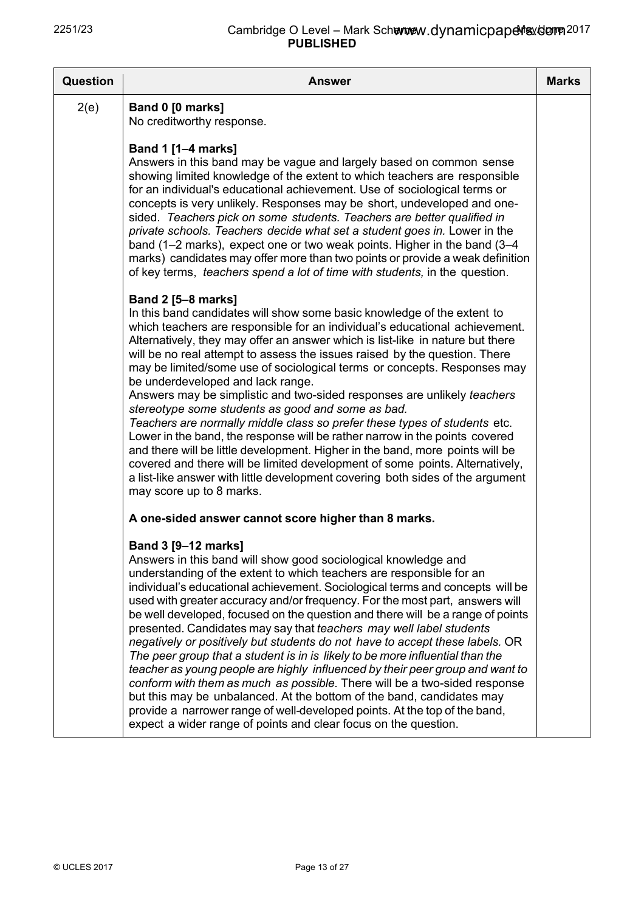| <b>Question</b> | <b>Answer</b>                                                                                                                                                                                                                                                                                                                                                                                                                                                                                                                                                                                                                                                                                                                                                                                                                                                                                                                                                                                                                                    | <b>Marks</b> |
|-----------------|--------------------------------------------------------------------------------------------------------------------------------------------------------------------------------------------------------------------------------------------------------------------------------------------------------------------------------------------------------------------------------------------------------------------------------------------------------------------------------------------------------------------------------------------------------------------------------------------------------------------------------------------------------------------------------------------------------------------------------------------------------------------------------------------------------------------------------------------------------------------------------------------------------------------------------------------------------------------------------------------------------------------------------------------------|--------------|
| 2(e)            | Band 0 [0 marks]<br>No creditworthy response.                                                                                                                                                                                                                                                                                                                                                                                                                                                                                                                                                                                                                                                                                                                                                                                                                                                                                                                                                                                                    |              |
|                 | <b>Band 1 [1-4 marks]</b><br>Answers in this band may be vague and largely based on common sense<br>showing limited knowledge of the extent to which teachers are responsible<br>for an individual's educational achievement. Use of sociological terms or<br>concepts is very unlikely. Responses may be short, undeveloped and one-<br>sided. Teachers pick on some students. Teachers are better qualified in<br>private schools. Teachers decide what set a student goes in. Lower in the<br>band (1–2 marks), expect one or two weak points. Higher in the band (3–4<br>marks) candidates may offer more than two points or provide a weak definition<br>of key terms, teachers spend a lot of time with students, in the question.                                                                                                                                                                                                                                                                                                         |              |
|                 | <b>Band 2 [5-8 marks]</b><br>In this band candidates will show some basic knowledge of the extent to<br>which teachers are responsible for an individual's educational achievement.<br>Alternatively, they may offer an answer which is list-like in nature but there<br>will be no real attempt to assess the issues raised by the question. There<br>may be limited/some use of sociological terms or concepts. Responses may<br>be underdeveloped and lack range.<br>Answers may be simplistic and two-sided responses are unlikely teachers<br>stereotype some students as good and some as bad.<br>Teachers are normally middle class so prefer these types of students etc.<br>Lower in the band, the response will be rather narrow in the points covered<br>and there will be little development. Higher in the band, more points will be<br>covered and there will be limited development of some points. Alternatively,<br>a list-like answer with little development covering both sides of the argument<br>may score up to 8 marks.  |              |
|                 | A one-sided answer cannot score higher than 8 marks.                                                                                                                                                                                                                                                                                                                                                                                                                                                                                                                                                                                                                                                                                                                                                                                                                                                                                                                                                                                             |              |
|                 | Band 3 [9-12 marks]<br>Answers in this band will show good sociological knowledge and<br>understanding of the extent to which teachers are responsible for an<br>individual's educational achievement. Sociological terms and concepts will be<br>used with greater accuracy and/or frequency. For the most part, answers will<br>be well developed, focused on the question and there will be a range of points<br>presented. Candidates may say that teachers may well label students<br>negatively or positively but students do not have to accept these labels. OR<br>The peer group that a student is in is likely to be more influential than the<br>teacher as young people are highly influenced by their peer group and want to<br>conform with them as much as possible. There will be a two-sided response<br>but this may be unbalanced. At the bottom of the band, candidates may<br>provide a narrower range of well-developed points. At the top of the band,<br>expect a wider range of points and clear focus on the question. |              |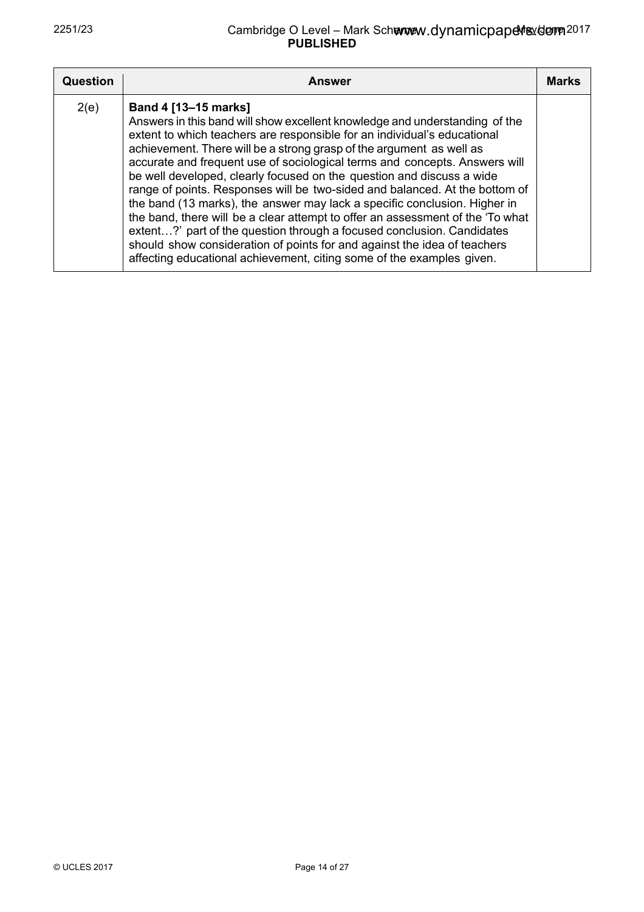| <b>Question</b> | <b>Answer</b>                                                                                                                                                                                                                                                                                                                                                                                                                                                                                                                                                                                                                                                                                                                                                                                                                                                                               | <b>Marks</b> |
|-----------------|---------------------------------------------------------------------------------------------------------------------------------------------------------------------------------------------------------------------------------------------------------------------------------------------------------------------------------------------------------------------------------------------------------------------------------------------------------------------------------------------------------------------------------------------------------------------------------------------------------------------------------------------------------------------------------------------------------------------------------------------------------------------------------------------------------------------------------------------------------------------------------------------|--------------|
| 2(e)            | Band 4 [13-15 marks]<br>Answers in this band will show excellent knowledge and understanding of the<br>extent to which teachers are responsible for an individual's educational<br>achievement. There will be a strong grasp of the argument as well as<br>accurate and frequent use of sociological terms and concepts. Answers will<br>be well developed, clearly focused on the question and discuss a wide<br>range of points. Responses will be two-sided and balanced. At the bottom of<br>the band (13 marks), the answer may lack a specific conclusion. Higher in<br>the band, there will be a clear attempt to offer an assessment of the 'To what<br>extent?' part of the question through a focused conclusion. Candidates<br>should show consideration of points for and against the idea of teachers<br>affecting educational achievement, citing some of the examples given. |              |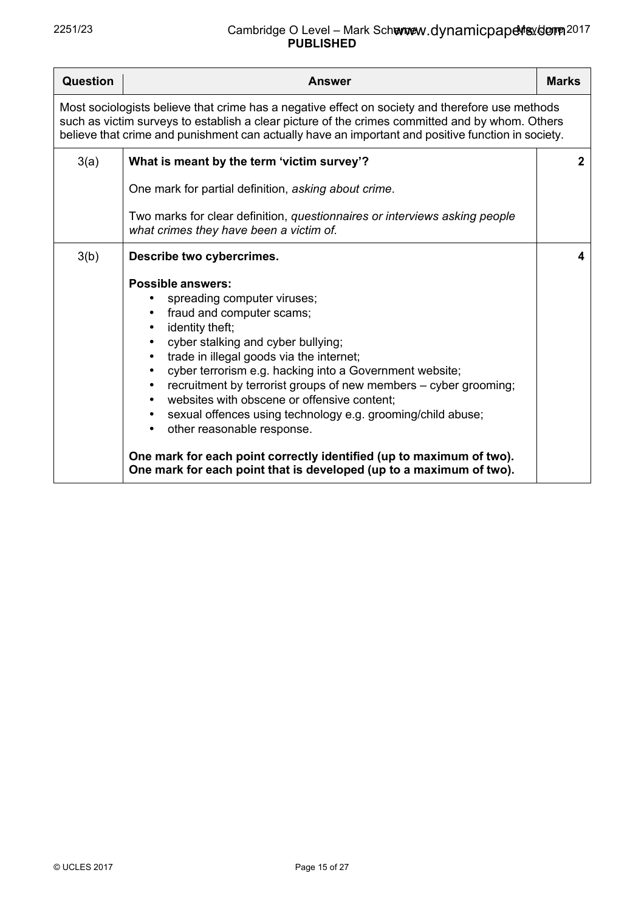| <b>Question</b>                                                                                                                                                                                                                                                                                          | <b>Answer</b>                                                                                                                                                                                                                                                                                                                                                                                                                                                                                                                                                                                                                                                 | <b>Marks</b> |
|----------------------------------------------------------------------------------------------------------------------------------------------------------------------------------------------------------------------------------------------------------------------------------------------------------|---------------------------------------------------------------------------------------------------------------------------------------------------------------------------------------------------------------------------------------------------------------------------------------------------------------------------------------------------------------------------------------------------------------------------------------------------------------------------------------------------------------------------------------------------------------------------------------------------------------------------------------------------------------|--------------|
| Most sociologists believe that crime has a negative effect on society and therefore use methods<br>such as victim surveys to establish a clear picture of the crimes committed and by whom. Others<br>believe that crime and punishment can actually have an important and positive function in society. |                                                                                                                                                                                                                                                                                                                                                                                                                                                                                                                                                                                                                                                               |              |
| 3(a)                                                                                                                                                                                                                                                                                                     | What is meant by the term 'victim survey'?<br>One mark for partial definition, asking about crime.<br>Two marks for clear definition, questionnaires or interviews asking people<br>what crimes they have been a victim of.                                                                                                                                                                                                                                                                                                                                                                                                                                   | $\mathbf{2}$ |
| 3(b)                                                                                                                                                                                                                                                                                                     | Describe two cybercrimes.<br><b>Possible answers:</b><br>spreading computer viruses;<br>fraud and computer scams;<br>identity theft;<br>cyber stalking and cyber bullying;<br>trade in illegal goods via the internet;<br>cyber terrorism e.g. hacking into a Government website;<br>recruitment by terrorist groups of new members - cyber grooming;<br>websites with obscene or offensive content;<br>sexual offences using technology e.g. grooming/child abuse;<br>$\bullet$<br>other reasonable response.<br>One mark for each point correctly identified (up to maximum of two).<br>One mark for each point that is developed (up to a maximum of two). | 4            |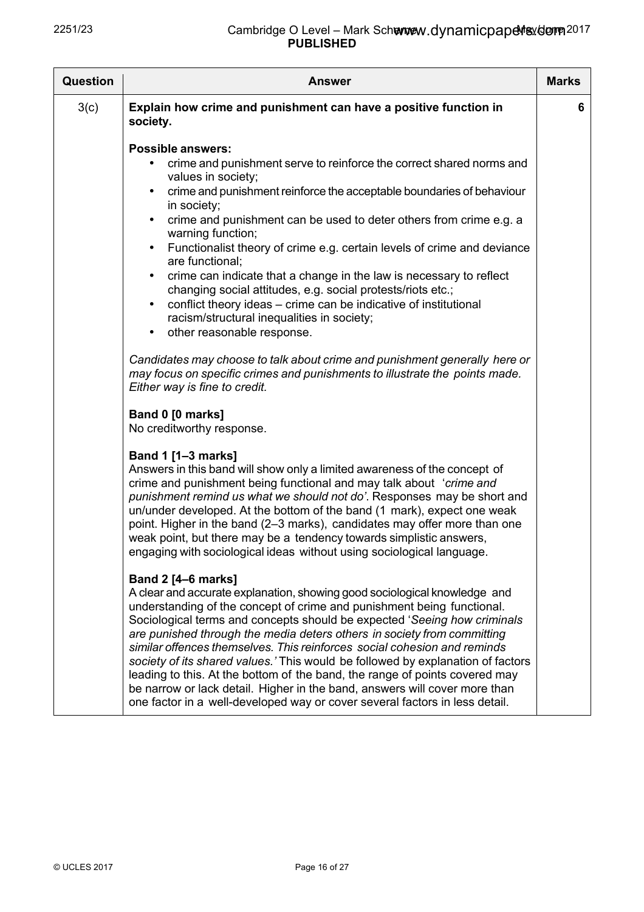| Question | <b>Answer</b>                                                                                                                                                                                                                                                                                                                                                                                                                                                                                                                                                                                                                                                                                                                                                                                                                                                                                                                                                             | <b>Marks</b> |
|----------|---------------------------------------------------------------------------------------------------------------------------------------------------------------------------------------------------------------------------------------------------------------------------------------------------------------------------------------------------------------------------------------------------------------------------------------------------------------------------------------------------------------------------------------------------------------------------------------------------------------------------------------------------------------------------------------------------------------------------------------------------------------------------------------------------------------------------------------------------------------------------------------------------------------------------------------------------------------------------|--------------|
| 3(c)     | Explain how crime and punishment can have a positive function in<br>society.                                                                                                                                                                                                                                                                                                                                                                                                                                                                                                                                                                                                                                                                                                                                                                                                                                                                                              | 6            |
|          | <b>Possible answers:</b><br>crime and punishment serve to reinforce the correct shared norms and<br>values in society;<br>crime and punishment reinforce the acceptable boundaries of behaviour<br>$\bullet$<br>in society;<br>crime and punishment can be used to deter others from crime e.g. a<br>$\bullet$<br>warning function;<br>Functionalist theory of crime e.g. certain levels of crime and deviance<br>$\bullet$<br>are functional;<br>crime can indicate that a change in the law is necessary to reflect<br>$\bullet$<br>changing social attitudes, e.g. social protests/riots etc.;<br>conflict theory ideas – crime can be indicative of institutional<br>$\bullet$<br>racism/structural inequalities in society;<br>other reasonable response.<br>$\bullet$<br>Candidates may choose to talk about crime and punishment generally here or<br>may focus on specific crimes and punishments to illustrate the points made.<br>Either way is fine to credit. |              |
|          | Band 0 [0 marks]<br>No creditworthy response.                                                                                                                                                                                                                                                                                                                                                                                                                                                                                                                                                                                                                                                                                                                                                                                                                                                                                                                             |              |
|          | Band 1 [1-3 marks]<br>Answers in this band will show only a limited awareness of the concept of<br>crime and punishment being functional and may talk about 'crime and<br>punishment remind us what we should not do'. Responses may be short and<br>un/under developed. At the bottom of the band (1 mark), expect one weak<br>point. Higher in the band (2–3 marks), candidates may offer more than one<br>weak point, but there may be a tendency towards simplistic answers,<br>engaging with sociological ideas without using sociological language.                                                                                                                                                                                                                                                                                                                                                                                                                 |              |
|          | <b>Band 2 [4-6 marks]</b><br>A clear and accurate explanation, showing good sociological knowledge and<br>understanding of the concept of crime and punishment being functional.<br>Sociological terms and concepts should be expected 'Seeing how criminals<br>are punished through the media deters others in society from committing<br>similar offences themselves. This reinforces social cohesion and reminds<br>society of its shared values.' This would be followed by explanation of factors<br>leading to this. At the bottom of the band, the range of points covered may<br>be narrow or lack detail. Higher in the band, answers will cover more than<br>one factor in a well-developed way or cover several factors in less detail.                                                                                                                                                                                                                        |              |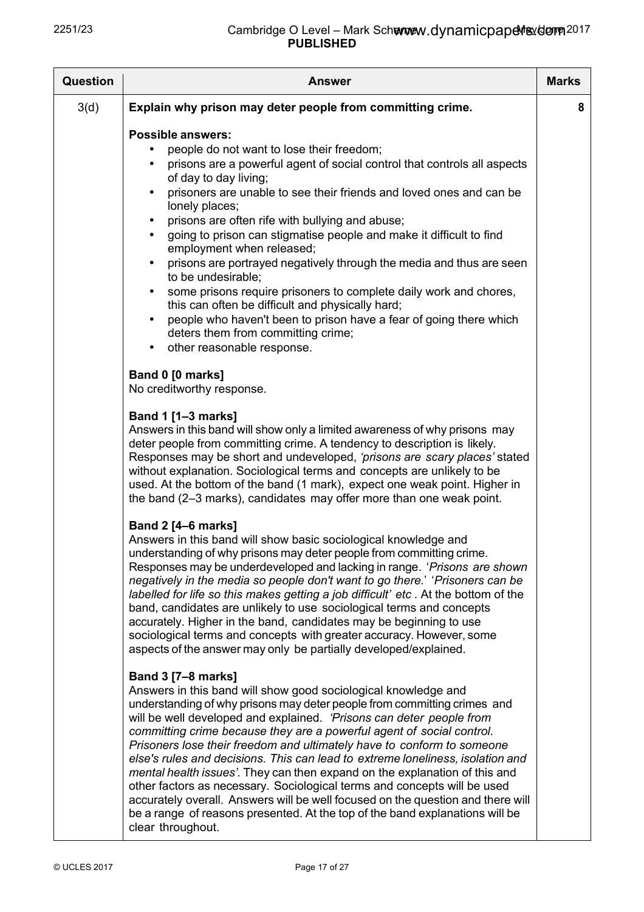| <b>Question</b> | <b>Answer</b>                                                                                                                                                                                                                                                                                                                                                                                                                                                                                                                                                                                                                                                                                                                                                                                                                                                                          | <b>Marks</b> |
|-----------------|----------------------------------------------------------------------------------------------------------------------------------------------------------------------------------------------------------------------------------------------------------------------------------------------------------------------------------------------------------------------------------------------------------------------------------------------------------------------------------------------------------------------------------------------------------------------------------------------------------------------------------------------------------------------------------------------------------------------------------------------------------------------------------------------------------------------------------------------------------------------------------------|--------------|
| 3(d)            | Explain why prison may deter people from committing crime.                                                                                                                                                                                                                                                                                                                                                                                                                                                                                                                                                                                                                                                                                                                                                                                                                             | 8            |
|                 | <b>Possible answers:</b><br>people do not want to lose their freedom;<br>prisons are a powerful agent of social control that controls all aspects<br>$\bullet$<br>of day to day living;<br>prisoners are unable to see their friends and loved ones and can be<br>$\bullet$<br>lonely places;<br>prisons are often rife with bullying and abuse;<br>$\bullet$<br>going to prison can stigmatise people and make it difficult to find<br>$\bullet$<br>employment when released;<br>prisons are portrayed negatively through the media and thus are seen<br>$\bullet$<br>to be undesirable;<br>some prisons require prisoners to complete daily work and chores,<br>$\bullet$<br>this can often be difficult and physically hard;<br>people who haven't been to prison have a fear of going there which<br>$\bullet$<br>deters them from committing crime;<br>other reasonable response. |              |
|                 | Band 0 [0 marks]<br>No creditworthy response.                                                                                                                                                                                                                                                                                                                                                                                                                                                                                                                                                                                                                                                                                                                                                                                                                                          |              |
|                 | Band 1 [1-3 marks]<br>Answers in this band will show only a limited awareness of why prisons may<br>deter people from committing crime. A tendency to description is likely.<br>Responses may be short and undeveloped, 'prisons are scary places' stated<br>without explanation. Sociological terms and concepts are unlikely to be<br>used. At the bottom of the band (1 mark), expect one weak point. Higher in<br>the band (2-3 marks), candidates may offer more than one weak point.                                                                                                                                                                                                                                                                                                                                                                                             |              |
|                 | <b>Band 2 [4-6 marks]</b><br>Answers in this band will show basic sociological knowledge and<br>understanding of why prisons may deter people from committing crime.<br>Responses may be underdeveloped and lacking in range. 'Prisons are shown'<br>negatively in the media so people don't want to go there.' 'Prisoners can be<br>labelled for life so this makes getting a job difficult' etc. At the bottom of the<br>band, candidates are unlikely to use sociological terms and concepts<br>accurately. Higher in the band, candidates may be beginning to use<br>sociological terms and concepts with greater accuracy. However, some<br>aspects of the answer may only be partially developed/explained.                                                                                                                                                                      |              |
|                 | <b>Band 3 [7-8 marks]</b><br>Answers in this band will show good sociological knowledge and<br>understanding of why prisons may deter people from committing crimes and<br>will be well developed and explained. 'Prisons can deter people from<br>committing crime because they are a powerful agent of social control.<br>Prisoners lose their freedom and ultimately have to conform to someone<br>else's rules and decisions. This can lead to extreme loneliness, isolation and<br>mental health issues'. They can then expand on the explanation of this and<br>other factors as necessary. Sociological terms and concepts will be used<br>accurately overall. Answers will be well focused on the question and there will<br>be a range of reasons presented. At the top of the band explanations will be<br>clear throughout.                                                 |              |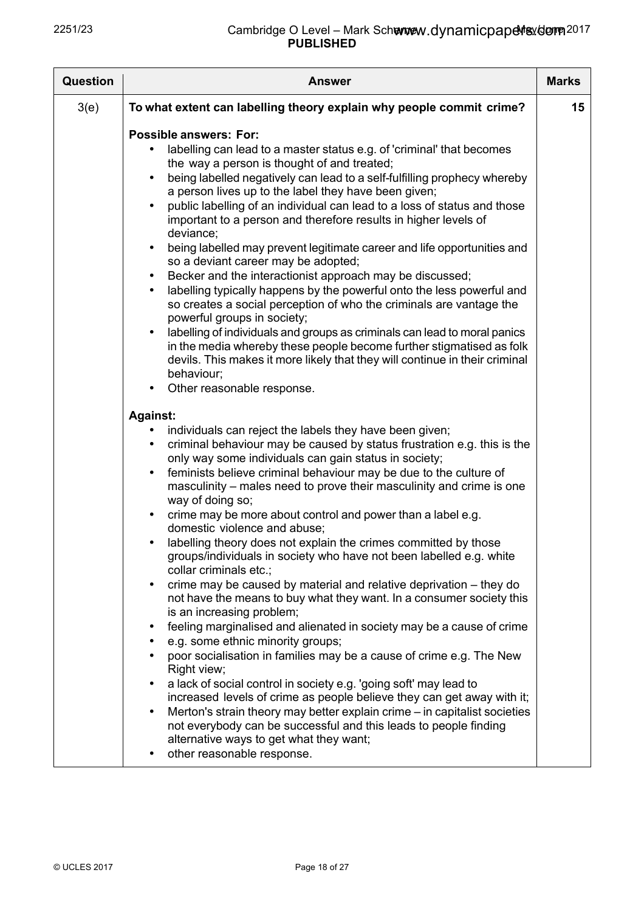| <b>Question</b> | <b>Answer</b>                                                                                                                                                                                                                                                                                                                                                                                                                                                                                                                                                                                                                                                                                                                                                                                                                                                                                                                                                                                                                                                                                                                                                                     | <b>Marks</b> |
|-----------------|-----------------------------------------------------------------------------------------------------------------------------------------------------------------------------------------------------------------------------------------------------------------------------------------------------------------------------------------------------------------------------------------------------------------------------------------------------------------------------------------------------------------------------------------------------------------------------------------------------------------------------------------------------------------------------------------------------------------------------------------------------------------------------------------------------------------------------------------------------------------------------------------------------------------------------------------------------------------------------------------------------------------------------------------------------------------------------------------------------------------------------------------------------------------------------------|--------------|
| 3(e)            | To what extent can labelling theory explain why people commit crime?                                                                                                                                                                                                                                                                                                                                                                                                                                                                                                                                                                                                                                                                                                                                                                                                                                                                                                                                                                                                                                                                                                              | 15           |
|                 | <b>Possible answers: For:</b><br>labelling can lead to a master status e.g. of 'criminal' that becomes<br>the way a person is thought of and treated;<br>being labelled negatively can lead to a self-fulfilling prophecy whereby<br>a person lives up to the label they have been given;<br>public labelling of an individual can lead to a loss of status and those<br>$\bullet$<br>important to a person and therefore results in higher levels of<br>deviance;<br>being labelled may prevent legitimate career and life opportunities and<br>$\bullet$<br>so a deviant career may be adopted;<br>Becker and the interactionist approach may be discussed;<br>$\bullet$<br>labelling typically happens by the powerful onto the less powerful and<br>$\bullet$<br>so creates a social perception of who the criminals are vantage the<br>powerful groups in society;<br>labelling of individuals and groups as criminals can lead to moral panics<br>$\bullet$<br>in the media whereby these people become further stigmatised as folk<br>devils. This makes it more likely that they will continue in their criminal<br>behaviour;<br>Other reasonable response.<br>$\bullet$ |              |
|                 | <b>Against:</b><br>individuals can reject the labels they have been given;<br>$\bullet$<br>criminal behaviour may be caused by status frustration e.g. this is the<br>$\bullet$<br>only way some individuals can gain status in society;<br>feminists believe criminal behaviour may be due to the culture of<br>$\bullet$<br>masculinity - males need to prove their masculinity and crime is one<br>way of doing so;<br>crime may be more about control and power than a label e.g.<br>$\bullet$<br>domestic violence and abuse;<br>labelling theory does not explain the crimes committed by those<br>$\bullet$                                                                                                                                                                                                                                                                                                                                                                                                                                                                                                                                                                |              |
|                 | groups/individuals in society who have not been labelled e.g. white<br>collar criminals etc.;<br>crime may be caused by material and relative deprivation – they do<br>$\bullet$<br>not have the means to buy what they want. In a consumer society this<br>is an increasing problem;<br>feeling marginalised and alienated in society may be a cause of crime<br>$\bullet$<br>e.g. some ethnic minority groups;<br>$\bullet$<br>poor socialisation in families may be a cause of crime e.g. The New<br>Right view;<br>a lack of social control in society e.g. 'going soft' may lead to<br>$\bullet$<br>increased levels of crime as people believe they can get away with it;<br>Merton's strain theory may better explain crime – in capitalist societies<br>$\bullet$<br>not everybody can be successful and this leads to people finding<br>alternative ways to get what they want;<br>other reasonable response.<br>$\bullet$                                                                                                                                                                                                                                               |              |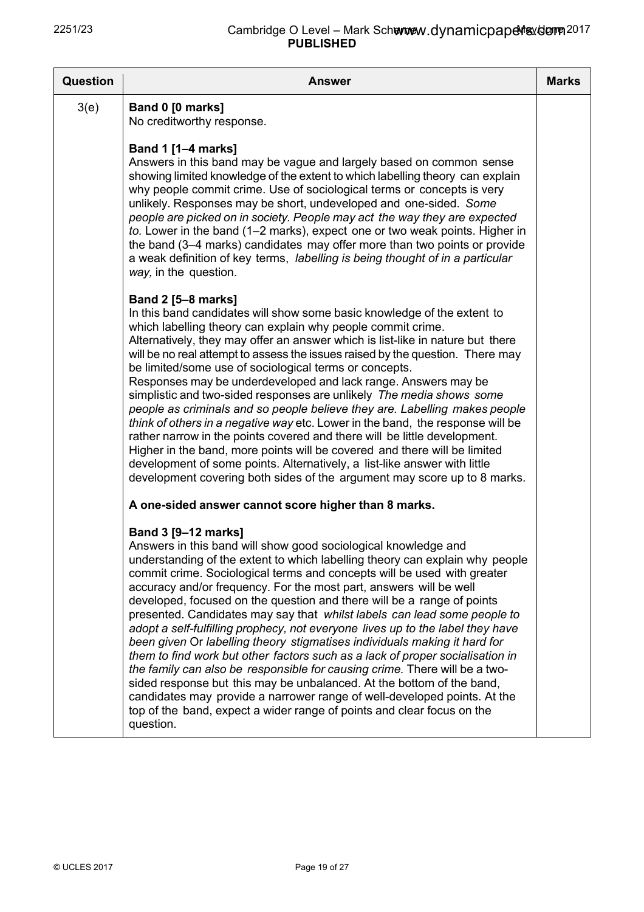| <b>Question</b> | <b>Answer</b>                                                                                                                                                                                                                                                                                                                                                                                                                                                                                                                                                                                                                                                                                                                                                                                                                                                                                                                                                                                                                                          | <b>Marks</b> |
|-----------------|--------------------------------------------------------------------------------------------------------------------------------------------------------------------------------------------------------------------------------------------------------------------------------------------------------------------------------------------------------------------------------------------------------------------------------------------------------------------------------------------------------------------------------------------------------------------------------------------------------------------------------------------------------------------------------------------------------------------------------------------------------------------------------------------------------------------------------------------------------------------------------------------------------------------------------------------------------------------------------------------------------------------------------------------------------|--------------|
| 3(e)            | Band 0 [0 marks]<br>No creditworthy response.                                                                                                                                                                                                                                                                                                                                                                                                                                                                                                                                                                                                                                                                                                                                                                                                                                                                                                                                                                                                          |              |
|                 | <b>Band 1 [1-4 marks]</b><br>Answers in this band may be vague and largely based on common sense<br>showing limited knowledge of the extent to which labelling theory can explain<br>why people commit crime. Use of sociological terms or concepts is very<br>unlikely. Responses may be short, undeveloped and one-sided. Some<br>people are picked on in society. People may act the way they are expected<br>to. Lower in the band (1-2 marks), expect one or two weak points. Higher in<br>the band (3–4 marks) candidates may offer more than two points or provide<br>a weak definition of key terms, labelling is being thought of in a particular<br>way, in the question.                                                                                                                                                                                                                                                                                                                                                                    |              |
|                 | <b>Band 2 [5-8 marks]</b><br>In this band candidates will show some basic knowledge of the extent to<br>which labelling theory can explain why people commit crime.<br>Alternatively, they may offer an answer which is list-like in nature but there<br>will be no real attempt to assess the issues raised by the question. There may<br>be limited/some use of sociological terms or concepts.<br>Responses may be underdeveloped and lack range. Answers may be<br>simplistic and two-sided responses are unlikely The media shows some<br>people as criminals and so people believe they are. Labelling makes people<br>think of others in a negative way etc. Lower in the band, the response will be<br>rather narrow in the points covered and there will be little development.<br>Higher in the band, more points will be covered and there will be limited<br>development of some points. Alternatively, a list-like answer with little<br>development covering both sides of the argument may score up to 8 marks.                         |              |
|                 | A one-sided answer cannot score higher than 8 marks.                                                                                                                                                                                                                                                                                                                                                                                                                                                                                                                                                                                                                                                                                                                                                                                                                                                                                                                                                                                                   |              |
|                 | Band 3 [9-12 marks]<br>Answers in this band will show good sociological knowledge and<br>understanding of the extent to which labelling theory can explain why people<br>commit crime. Sociological terms and concepts will be used with greater<br>accuracy and/or frequency. For the most part, answers will be well<br>developed, focused on the question and there will be a range of points<br>presented. Candidates may say that whilst labels can lead some people to<br>adopt a self-fulfilling prophecy, not everyone lives up to the label they have<br>been given Or labelling theory stigmatises individuals making it hard for<br>them to find work but other factors such as a lack of proper socialisation in<br>the family can also be responsible for causing crime. There will be a two-<br>sided response but this may be unbalanced. At the bottom of the band,<br>candidates may provide a narrower range of well-developed points. At the<br>top of the band, expect a wider range of points and clear focus on the<br>question. |              |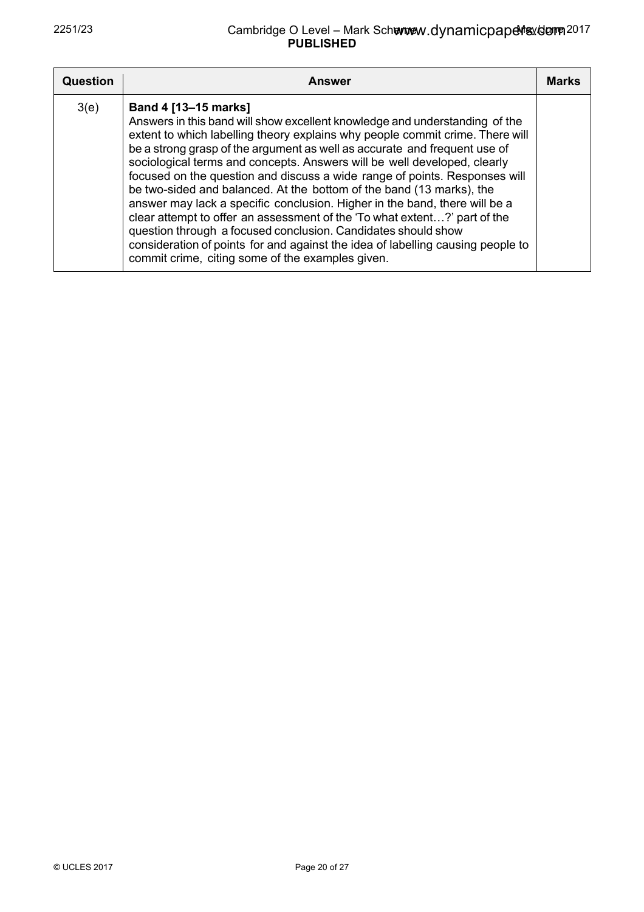| <b>Question</b> | <b>Answer</b>                                                                                                                                                                                                                                                                                                                                                                                                                                                                                                                                                                                                                                                                                                                                                                                                                                                          | <b>Marks</b> |
|-----------------|------------------------------------------------------------------------------------------------------------------------------------------------------------------------------------------------------------------------------------------------------------------------------------------------------------------------------------------------------------------------------------------------------------------------------------------------------------------------------------------------------------------------------------------------------------------------------------------------------------------------------------------------------------------------------------------------------------------------------------------------------------------------------------------------------------------------------------------------------------------------|--------------|
| 3(e)            | Band 4 [13-15 marks]<br>Answers in this band will show excellent knowledge and understanding of the<br>extent to which labelling theory explains why people commit crime. There will<br>be a strong grasp of the argument as well as accurate and frequent use of<br>sociological terms and concepts. Answers will be well developed, clearly<br>focused on the question and discuss a wide range of points. Responses will<br>be two-sided and balanced. At the bottom of the band (13 marks), the<br>answer may lack a specific conclusion. Higher in the band, there will be a<br>clear attempt to offer an assessment of the 'To what extent?' part of the<br>question through a focused conclusion. Candidates should show<br>consideration of points for and against the idea of labelling causing people to<br>commit crime, citing some of the examples given. |              |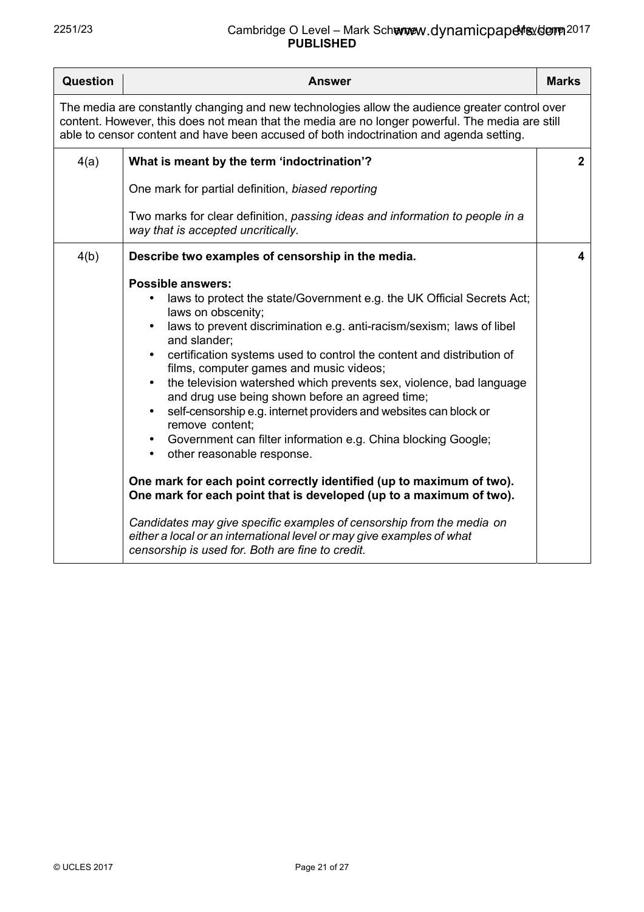| <b>Question</b>                                                                                                                                                                                                                                                                              | <b>Answer</b>                                                                                                                                                                                                                                                                                                                                                                                                                                                                                                                                                                                                                                                                                                                                                                                                                                                                                                                                                                                                                                      | <b>Marks</b> |
|----------------------------------------------------------------------------------------------------------------------------------------------------------------------------------------------------------------------------------------------------------------------------------------------|----------------------------------------------------------------------------------------------------------------------------------------------------------------------------------------------------------------------------------------------------------------------------------------------------------------------------------------------------------------------------------------------------------------------------------------------------------------------------------------------------------------------------------------------------------------------------------------------------------------------------------------------------------------------------------------------------------------------------------------------------------------------------------------------------------------------------------------------------------------------------------------------------------------------------------------------------------------------------------------------------------------------------------------------------|--------------|
| The media are constantly changing and new technologies allow the audience greater control over<br>content. However, this does not mean that the media are no longer powerful. The media are still<br>able to censor content and have been accused of both indoctrination and agenda setting. |                                                                                                                                                                                                                                                                                                                                                                                                                                                                                                                                                                                                                                                                                                                                                                                                                                                                                                                                                                                                                                                    |              |
| 4(a)                                                                                                                                                                                                                                                                                         | What is meant by the term 'indoctrination'?                                                                                                                                                                                                                                                                                                                                                                                                                                                                                                                                                                                                                                                                                                                                                                                                                                                                                                                                                                                                        | $\mathbf 2$  |
|                                                                                                                                                                                                                                                                                              | One mark for partial definition, biased reporting                                                                                                                                                                                                                                                                                                                                                                                                                                                                                                                                                                                                                                                                                                                                                                                                                                                                                                                                                                                                  |              |
|                                                                                                                                                                                                                                                                                              | Two marks for clear definition, passing ideas and information to people in a<br>way that is accepted uncritically.                                                                                                                                                                                                                                                                                                                                                                                                                                                                                                                                                                                                                                                                                                                                                                                                                                                                                                                                 |              |
| 4(b)                                                                                                                                                                                                                                                                                         | Describe two examples of censorship in the media.                                                                                                                                                                                                                                                                                                                                                                                                                                                                                                                                                                                                                                                                                                                                                                                                                                                                                                                                                                                                  | 4            |
|                                                                                                                                                                                                                                                                                              | <b>Possible answers:</b><br>laws to protect the state/Government e.g. the UK Official Secrets Act;<br>laws on obscenity;<br>laws to prevent discrimination e.g. anti-racism/sexism; laws of libel<br>and slander:<br>certification systems used to control the content and distribution of<br>films, computer games and music videos;<br>the television watershed which prevents sex, violence, bad language<br>$\bullet$<br>and drug use being shown before an agreed time;<br>self-censorship e.g. internet providers and websites can block or<br>remove content;<br>Government can filter information e.g. China blocking Google;<br>$\bullet$<br>other reasonable response.<br>$\bullet$<br>One mark for each point correctly identified (up to maximum of two).<br>One mark for each point that is developed (up to a maximum of two).<br>Candidates may give specific examples of censorship from the media on<br>either a local or an international level or may give examples of what<br>censorship is used for. Both are fine to credit. |              |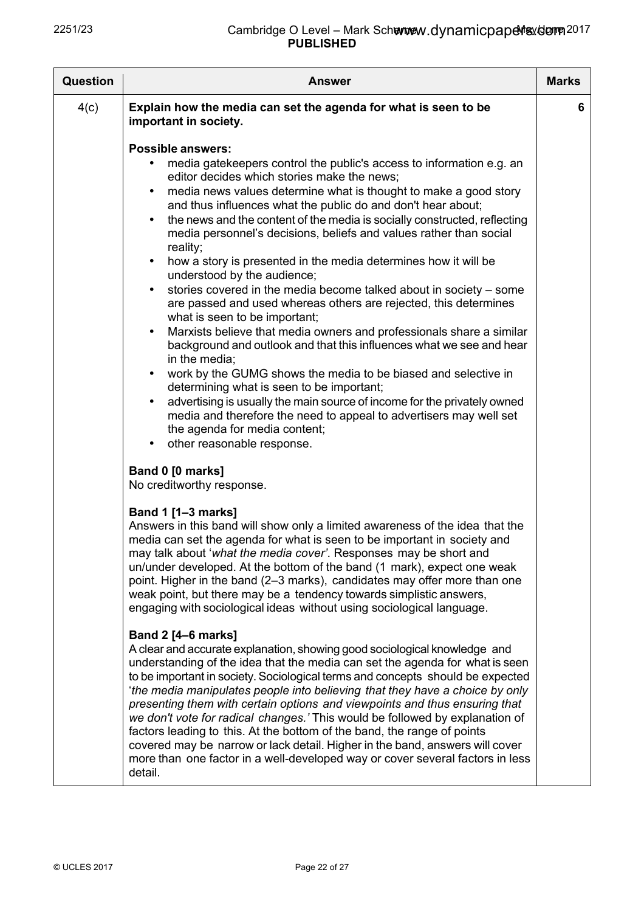| Question | <b>Answer</b>                                                                                                                                                                                                                                                                                                                                                                                                                                                                                                                                                                                                                                                                                                                                                                                                                                                                                                                                                                                                                                                                                                                                                                                                                                                                                                                                                                                                                                                                                                                                                                                                                                                                                                                                                                                                                                                                                                                                                                                                                                        | <b>Marks</b> |
|----------|------------------------------------------------------------------------------------------------------------------------------------------------------------------------------------------------------------------------------------------------------------------------------------------------------------------------------------------------------------------------------------------------------------------------------------------------------------------------------------------------------------------------------------------------------------------------------------------------------------------------------------------------------------------------------------------------------------------------------------------------------------------------------------------------------------------------------------------------------------------------------------------------------------------------------------------------------------------------------------------------------------------------------------------------------------------------------------------------------------------------------------------------------------------------------------------------------------------------------------------------------------------------------------------------------------------------------------------------------------------------------------------------------------------------------------------------------------------------------------------------------------------------------------------------------------------------------------------------------------------------------------------------------------------------------------------------------------------------------------------------------------------------------------------------------------------------------------------------------------------------------------------------------------------------------------------------------------------------------------------------------------------------------------------------------|--------------|
| 4(c)     | Explain how the media can set the agenda for what is seen to be<br>important in society.<br><b>Possible answers:</b><br>media gatekeepers control the public's access to information e.g. an<br>editor decides which stories make the news;<br>media news values determine what is thought to make a good story<br>$\bullet$<br>and thus influences what the public do and don't hear about;<br>the news and the content of the media is socially constructed, reflecting<br>$\bullet$<br>media personnel's decisions, beliefs and values rather than social<br>reality;<br>how a story is presented in the media determines how it will be<br>$\bullet$<br>understood by the audience;<br>stories covered in the media become talked about in society – some<br>$\bullet$<br>are passed and used whereas others are rejected, this determines<br>what is seen to be important;<br>Marxists believe that media owners and professionals share a similar<br>$\bullet$<br>background and outlook and that this influences what we see and hear<br>in the media;<br>work by the GUMG shows the media to be biased and selective in<br>$\bullet$<br>determining what is seen to be important;<br>advertising is usually the main source of income for the privately owned<br>$\bullet$<br>media and therefore the need to appeal to advertisers may well set<br>the agenda for media content;<br>other reasonable response.<br>$\bullet$<br>Band 0 [0 marks]<br>No creditworthy response.<br>Band 1 [1-3 marks]<br>Answers in this band will show only a limited awareness of the idea that the<br>media can set the agenda for what is seen to be important in society and<br>may talk about 'what the media cover'. Responses may be short and<br>un/under developed. At the bottom of the band (1 mark), expect one weak<br>point. Higher in the band (2–3 marks), candidates may offer more than one<br>weak point, but there may be a tendency towards simplistic answers,<br>engaging with sociological ideas without using sociological language. | 6            |
|          |                                                                                                                                                                                                                                                                                                                                                                                                                                                                                                                                                                                                                                                                                                                                                                                                                                                                                                                                                                                                                                                                                                                                                                                                                                                                                                                                                                                                                                                                                                                                                                                                                                                                                                                                                                                                                                                                                                                                                                                                                                                      |              |
|          | <b>Band 2 [4–6 marks]</b><br>A clear and accurate explanation, showing good sociological knowledge and<br>understanding of the idea that the media can set the agenda for what is seen<br>to be important in society. Sociological terms and concepts should be expected<br>'the media manipulates people into believing that they have a choice by only<br>presenting them with certain options and viewpoints and thus ensuring that<br>we don't vote for radical changes.' This would be followed by explanation of<br>factors leading to this. At the bottom of the band, the range of points<br>covered may be narrow or lack detail. Higher in the band, answers will cover<br>more than one factor in a well-developed way or cover several factors in less<br>detail.                                                                                                                                                                                                                                                                                                                                                                                                                                                                                                                                                                                                                                                                                                                                                                                                                                                                                                                                                                                                                                                                                                                                                                                                                                                                        |              |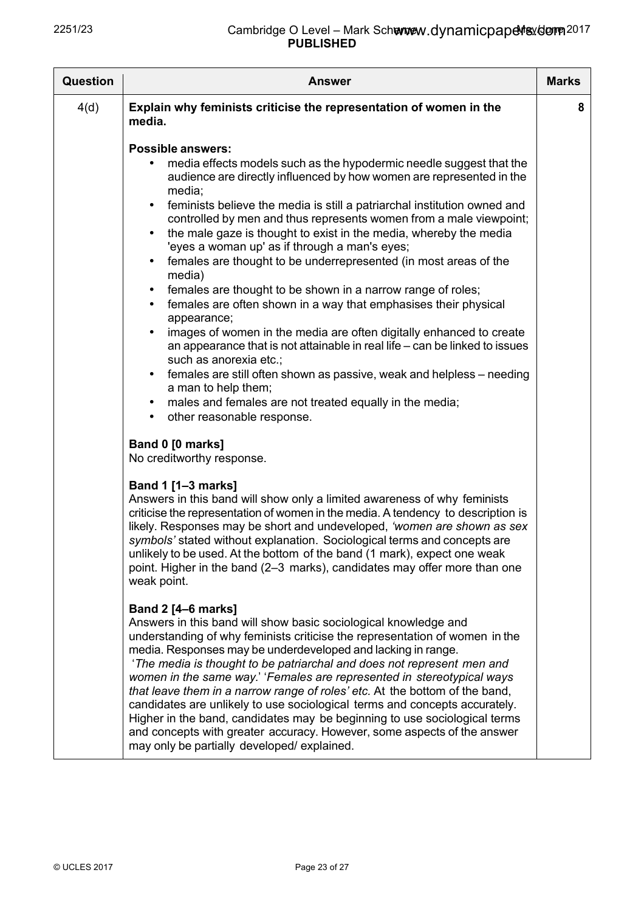| <b>Question</b> | <b>Answer</b>                                                                                                                                                                                                                                                                                                                                                                                                                                                                                                                                                                                                                                                                                                                                                                                                                                                                                                                                                                                                                                                                                                                      | <b>Marks</b> |
|-----------------|------------------------------------------------------------------------------------------------------------------------------------------------------------------------------------------------------------------------------------------------------------------------------------------------------------------------------------------------------------------------------------------------------------------------------------------------------------------------------------------------------------------------------------------------------------------------------------------------------------------------------------------------------------------------------------------------------------------------------------------------------------------------------------------------------------------------------------------------------------------------------------------------------------------------------------------------------------------------------------------------------------------------------------------------------------------------------------------------------------------------------------|--------------|
| 4(d)            | Explain why feminists criticise the representation of women in the<br>media.                                                                                                                                                                                                                                                                                                                                                                                                                                                                                                                                                                                                                                                                                                                                                                                                                                                                                                                                                                                                                                                       | 8            |
|                 | <b>Possible answers:</b><br>media effects models such as the hypodermic needle suggest that the<br>audience are directly influenced by how women are represented in the<br>media;<br>feminists believe the media is still a patriarchal institution owned and<br>$\bullet$<br>controlled by men and thus represents women from a male viewpoint;<br>the male gaze is thought to exist in the media, whereby the media<br>'eyes a woman up' as if through a man's eyes;<br>females are thought to be underrepresented (in most areas of the<br>media)<br>females are thought to be shown in a narrow range of roles;<br>$\bullet$<br>females are often shown in a way that emphasises their physical<br>$\bullet$<br>appearance;<br>images of women in the media are often digitally enhanced to create<br>an appearance that is not attainable in real life – can be linked to issues<br>such as anorexia etc.;<br>females are still often shown as passive, weak and helpless – needing<br>$\bullet$<br>a man to help them;<br>males and females are not treated equally in the media;<br>other reasonable response.<br>$\bullet$ |              |
|                 | Band 0 [0 marks]<br>No creditworthy response.<br>Band 1 [1-3 marks]<br>Answers in this band will show only a limited awareness of why feminists<br>criticise the representation of women in the media. A tendency to description is<br>likely. Responses may be short and undeveloped, 'women are shown as sex<br>symbols' stated without explanation. Sociological terms and concepts are<br>unlikely to be used. At the bottom of the band (1 mark), expect one weak<br>point. Higher in the band (2–3 marks), candidates may offer more than one<br>weak point.                                                                                                                                                                                                                                                                                                                                                                                                                                                                                                                                                                 |              |
|                 | <b>Band 2 [4–6 marks]</b><br>Answers in this band will show basic sociological knowledge and<br>understanding of why feminists criticise the representation of women in the<br>media. Responses may be underdeveloped and lacking in range.<br>'The media is thought to be patriarchal and does not represent men and<br>women in the same way.' 'Females are represented in stereotypical ways<br>that leave them in a narrow range of roles' etc. At the bottom of the band,<br>candidates are unlikely to use sociological terms and concepts accurately.<br>Higher in the band, candidates may be beginning to use sociological terms<br>and concepts with greater accuracy. However, some aspects of the answer<br>may only be partially developed/explained.                                                                                                                                                                                                                                                                                                                                                                 |              |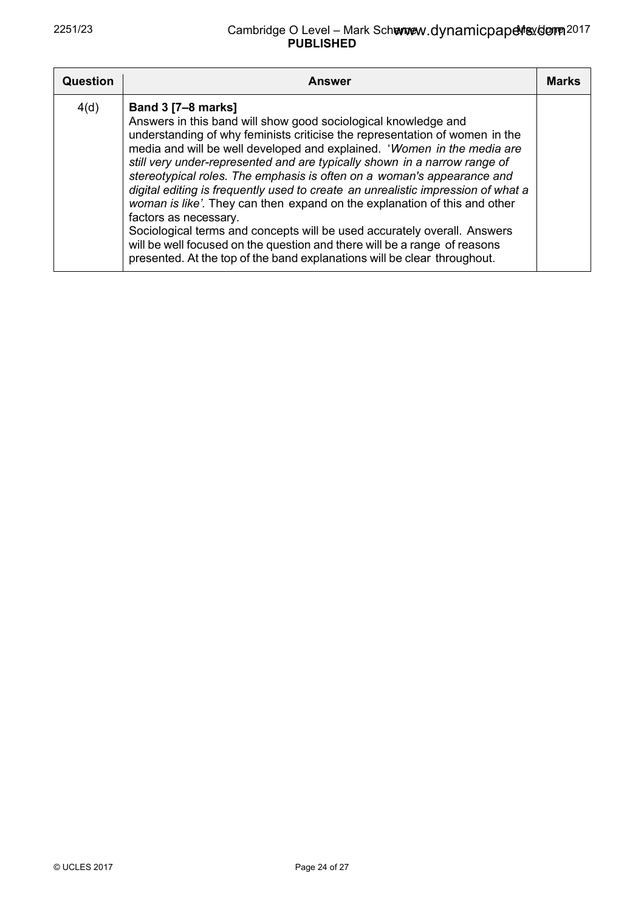| <b>Question</b> | <b>Answer</b>                                                                                                                                                                                                                                                                                                                                                                                                                                                                                                                                                                                                                                                                                                                                                                                                                               | Marks |
|-----------------|---------------------------------------------------------------------------------------------------------------------------------------------------------------------------------------------------------------------------------------------------------------------------------------------------------------------------------------------------------------------------------------------------------------------------------------------------------------------------------------------------------------------------------------------------------------------------------------------------------------------------------------------------------------------------------------------------------------------------------------------------------------------------------------------------------------------------------------------|-------|
| 4(d)            | <b>Band 3 [7-8 marks]</b><br>Answers in this band will show good sociological knowledge and<br>understanding of why feminists criticise the representation of women in the<br>media and will be well developed and explained. 'Women in the media are<br>still very under-represented and are typically shown in a narrow range of<br>stereotypical roles. The emphasis is often on a woman's appearance and<br>digital editing is frequently used to create an unrealistic impression of what a<br>woman is like'. They can then expand on the explanation of this and other<br>factors as necessary.<br>Sociological terms and concepts will be used accurately overall. Answers<br>will be well focused on the question and there will be a range of reasons<br>presented. At the top of the band explanations will be clear throughout. |       |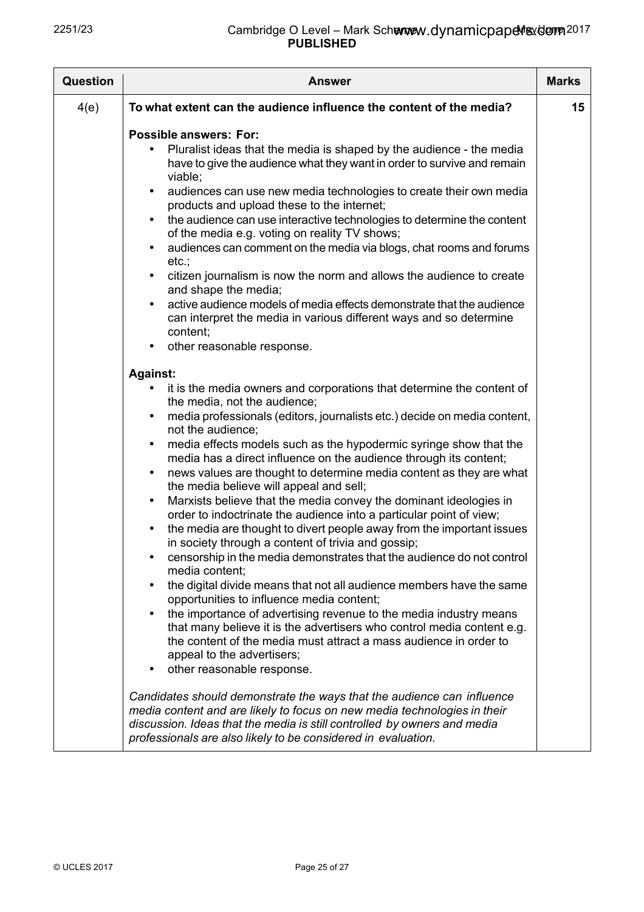| <b>Question</b> | <b>Answer</b>                                                                                                                                                                                                                                                                                                                                                                                                                                                                                                                                                                                                                                                                                                                                                                                                                                                                                                                                                                                                                                                                                                                                                                                                                                                                                                                                               | <b>Marks</b> |
|-----------------|-------------------------------------------------------------------------------------------------------------------------------------------------------------------------------------------------------------------------------------------------------------------------------------------------------------------------------------------------------------------------------------------------------------------------------------------------------------------------------------------------------------------------------------------------------------------------------------------------------------------------------------------------------------------------------------------------------------------------------------------------------------------------------------------------------------------------------------------------------------------------------------------------------------------------------------------------------------------------------------------------------------------------------------------------------------------------------------------------------------------------------------------------------------------------------------------------------------------------------------------------------------------------------------------------------------------------------------------------------------|--------------|
| 4(e)            | To what extent can the audience influence the content of the media?                                                                                                                                                                                                                                                                                                                                                                                                                                                                                                                                                                                                                                                                                                                                                                                                                                                                                                                                                                                                                                                                                                                                                                                                                                                                                         | 15           |
|                 | <b>Possible answers: For:</b><br>Pluralist ideas that the media is shaped by the audience - the media<br>have to give the audience what they want in order to survive and remain<br>viable;<br>audiences can use new media technologies to create their own media<br>$\bullet$<br>products and upload these to the internet;<br>the audience can use interactive technologies to determine the content<br>$\bullet$<br>of the media e.g. voting on reality TV shows;<br>audiences can comment on the media via blogs, chat rooms and forums<br>$\bullet$<br>etc.;<br>citizen journalism is now the norm and allows the audience to create<br>$\bullet$<br>and shape the media;<br>active audience models of media effects demonstrate that the audience<br>$\bullet$<br>can interpret the media in various different ways and so determine<br>content;<br>other reasonable response.<br>$\bullet$                                                                                                                                                                                                                                                                                                                                                                                                                                                           |              |
|                 | <b>Against:</b><br>it is the media owners and corporations that determine the content of<br>the media, not the audience;<br>media professionals (editors, journalists etc.) decide on media content,<br>$\bullet$<br>not the audience;<br>media effects models such as the hypodermic syringe show that the<br>$\bullet$<br>media has a direct influence on the audience through its content;<br>news values are thought to determine media content as they are what<br>$\bullet$<br>the media believe will appeal and sell;<br>Marxists believe that the media convey the dominant ideologies in<br>$\bullet$<br>order to indoctrinate the audience into a particular point of view;<br>the media are thought to divert people away from the important issues<br>$\bullet$<br>in society through a content of trivia and gossip;<br>censorship in the media demonstrates that the audience do not control<br>$\bullet$<br>media content;<br>the digital divide means that not all audience members have the same<br>$\bullet$<br>opportunities to influence media content;<br>the importance of advertising revenue to the media industry means<br>that many believe it is the advertisers who control media content e.g.<br>the content of the media must attract a mass audience in order to<br>appeal to the advertisers;<br>other reasonable response. |              |
|                 | Candidates should demonstrate the ways that the audience can influence<br>media content and are likely to focus on new media technologies in their<br>discussion. Ideas that the media is still controlled by owners and media<br>professionals are also likely to be considered in evaluation.                                                                                                                                                                                                                                                                                                                                                                                                                                                                                                                                                                                                                                                                                                                                                                                                                                                                                                                                                                                                                                                             |              |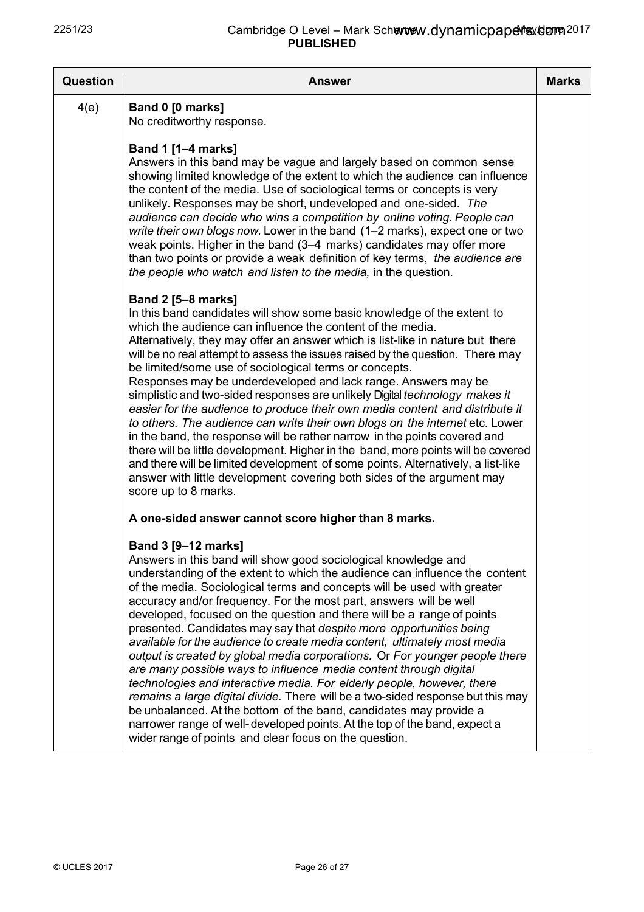| Question | <b>Answer</b>                                                                                                                                                                                                                                                                                                                                                                                                                                                                                                                                                                                                                                                                                                                                                                                                                                                                                                                                                                                                                                                                     | <b>Marks</b> |
|----------|-----------------------------------------------------------------------------------------------------------------------------------------------------------------------------------------------------------------------------------------------------------------------------------------------------------------------------------------------------------------------------------------------------------------------------------------------------------------------------------------------------------------------------------------------------------------------------------------------------------------------------------------------------------------------------------------------------------------------------------------------------------------------------------------------------------------------------------------------------------------------------------------------------------------------------------------------------------------------------------------------------------------------------------------------------------------------------------|--------------|
| 4(e)     | Band 0 [0 marks]<br>No creditworthy response.                                                                                                                                                                                                                                                                                                                                                                                                                                                                                                                                                                                                                                                                                                                                                                                                                                                                                                                                                                                                                                     |              |
|          | <b>Band 1 [1-4 marks]</b><br>Answers in this band may be vague and largely based on common sense<br>showing limited knowledge of the extent to which the audience can influence<br>the content of the media. Use of sociological terms or concepts is very<br>unlikely. Responses may be short, undeveloped and one-sided. The<br>audience can decide who wins a competition by online voting. People can<br>write their own blogs now. Lower in the band (1–2 marks), expect one or two<br>weak points. Higher in the band (3–4 marks) candidates may offer more<br>than two points or provide a weak definition of key terms, the audience are<br>the people who watch and listen to the media, in the question.                                                                                                                                                                                                                                                                                                                                                                |              |
|          | <b>Band 2 [5-8 marks]</b><br>In this band candidates will show some basic knowledge of the extent to<br>which the audience can influence the content of the media.<br>Alternatively, they may offer an answer which is list-like in nature but there<br>will be no real attempt to assess the issues raised by the question. There may<br>be limited/some use of sociological terms or concepts.<br>Responses may be underdeveloped and lack range. Answers may be<br>simplistic and two-sided responses are unlikely Digital technology makes it<br>easier for the audience to produce their own media content and distribute it<br>to others. The audience can write their own blogs on the internet etc. Lower<br>in the band, the response will be rather narrow in the points covered and<br>there will be little development. Higher in the band, more points will be covered<br>and there will be limited development of some points. Alternatively, a list-like<br>answer with little development covering both sides of the argument may<br>score up to 8 marks.         |              |
|          | A one-sided answer cannot score higher than 8 marks.                                                                                                                                                                                                                                                                                                                                                                                                                                                                                                                                                                                                                                                                                                                                                                                                                                                                                                                                                                                                                              |              |
|          | Band 3 [9-12 marks]<br>Answers in this band will show good sociological knowledge and<br>understanding of the extent to which the audience can influence the content<br>of the media. Sociological terms and concepts will be used with greater<br>accuracy and/or frequency. For the most part, answers will be well<br>developed, focused on the question and there will be a range of points<br>presented. Candidates may say that despite more opportunities being<br>available for the audience to create media content, ultimately most media<br>output is created by global media corporations. Or For younger people there<br>are many possible ways to influence media content through digital<br>technologies and interactive media. For elderly people, however, there<br>remains a large digital divide. There will be a two-sided response but this may<br>be unbalanced. At the bottom of the band, candidates may provide a<br>narrower range of well-developed points. At the top of the band, expect a<br>wider range of points and clear focus on the question. |              |